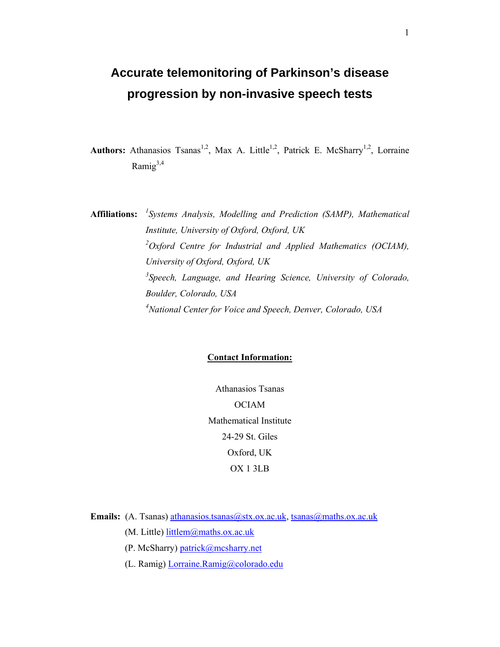# **Accurate telemonitoring of Parkinson's disease progression by non-invasive speech tests**

Authors: Athanasios Tsanas<sup>1,2</sup>, Max A. Little<sup>1,2</sup>, Patrick E. McSharry<sup>1,2</sup>, Lorraine Ramig $^{3,4}$ 

**Affiliations:** *<sup>1</sup> Systems Analysis, Modelling and Prediction (SAMP), Mathematical Institute, University of Oxford, Oxford, UK 2Oxford Centre for Industrial and Applied Mathematics (OCIAM), University of Oxford, Oxford, UK 3 Speech, Language, and Hearing Science, University of Colorado, Boulder, Colorado, USA 4 National Center for Voice and Speech, Denver, Colorado, USA* 

# **Contact Information:**

Athanasios Tsanas OCIAM Mathematical Institute 24-29 St. Giles Oxford, UK OX 1 3LB

**Emails:** (A. Tsanas) athanasios.tsanas@stx.ox.ac.uk, tsanas@maths.ox.ac.uk

(M. Little) littlem@maths.ox.ac.uk

(P. McSharry) patrick@mcsharry.net

(L. Ramig) Lorraine.Ramig@colorado.edu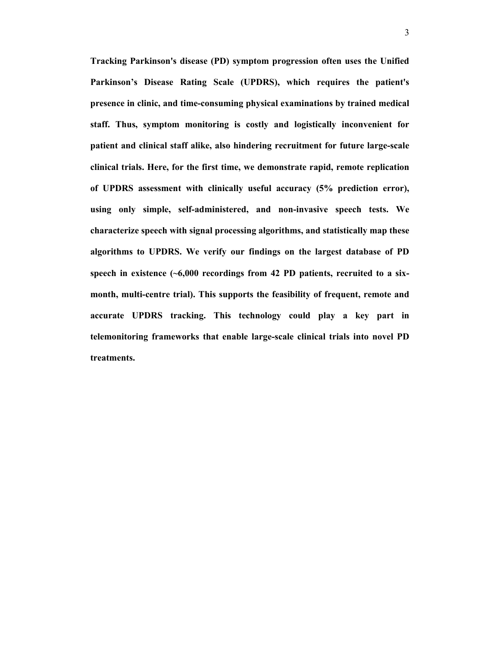**Tracking Parkinson's disease (PD) symptom progression often uses the Unified Parkinson's Disease Rating Scale (UPDRS), which requires the patient's presence in clinic, and time-consuming physical examinations by trained medical staff. Thus, symptom monitoring is costly and logistically inconvenient for patient and clinical staff alike, also hindering recruitment for future large-scale clinical trials. Here, for the first time, we demonstrate rapid, remote replication of UPDRS assessment with clinically useful accuracy (5% prediction error), using only simple, self-administered, and non-invasive speech tests. We characterize speech with signal processing algorithms, and statistically map these algorithms to UPDRS. We verify our findings on the largest database of PD speech in existence (~6,000 recordings from 42 PD patients, recruited to a sixmonth, multi-centre trial). This supports the feasibility of frequent, remote and accurate UPDRS tracking. This technology could play a key part in telemonitoring frameworks that enable large-scale clinical trials into novel PD treatments.**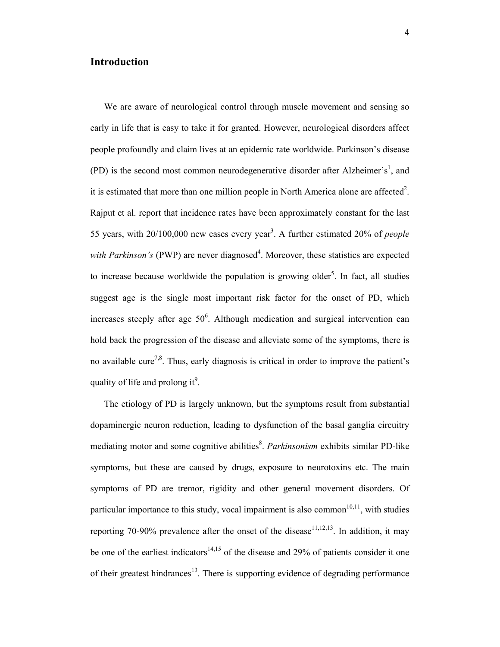# **Introduction**

 We are aware of neurological control through muscle movement and sensing so early in life that is easy to take it for granted. However, neurological disorders affect people profoundly and claim lives at an epidemic rate worldwide. Parkinson's disease (PD) is the second most common neurodegenerative disorder after Alzheimer's<sup>1</sup>, and it is estimated that more than one million people in North America alone are affected<sup>2</sup>. Rajput et al. report that incidence rates have been approximately constant for the last 55 years, with 20/100,000 new cases every year3 . A further estimated 20% of *people*  with Parkinson's (PWP) are never diagnosed<sup>4</sup>. Moreover, these statistics are expected to increase because worldwide the population is growing older<sup>5</sup>. In fact, all studies suggest age is the single most important risk factor for the onset of PD, which increases steeply after age  $50^6$ . Although medication and surgical intervention can hold back the progression of the disease and alleviate some of the symptoms, there is no available cure<sup>7,8</sup>. Thus, early diagnosis is critical in order to improve the patient's quality of life and prolong it<sup>9</sup>.

 The etiology of PD is largely unknown, but the symptoms result from substantial dopaminergic neuron reduction, leading to dysfunction of the basal ganglia circuitry mediating motor and some cognitive abilities<sup>8</sup>. *Parkinsonism* exhibits similar PD-like symptoms, but these are caused by drugs, exposure to neurotoxins etc. The main symptoms of PD are tremor, rigidity and other general movement disorders. Of particular importance to this study, vocal impairment is also common<sup>10,11</sup>, with studies reporting 70-90% prevalence after the onset of the disease<sup>11,12,13</sup>. In addition, it may be one of the earliest indicators<sup>14,15</sup> of the disease and 29% of patients consider it one of their greatest hindrances<sup>13</sup>. There is supporting evidence of degrading performance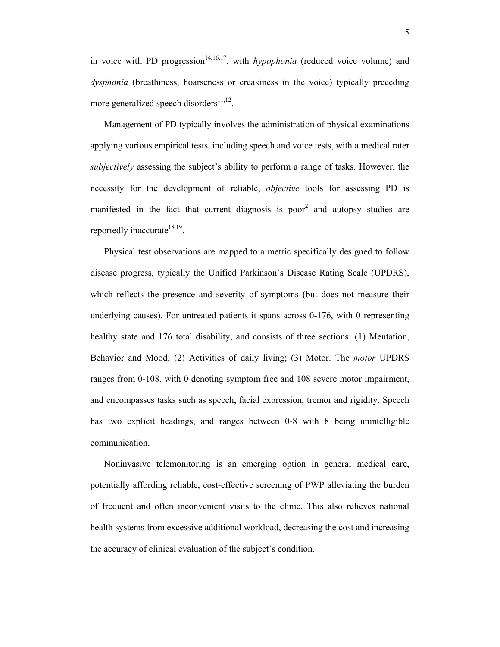in voice with PD progression<sup>14,16,17</sup>, with *hypophonia* (reduced voice volume) and *dysphonia* (breathiness, hoarseness or creakiness in the voice) typically preceding more generalized speech disorders $^{11,12}$ .

 Management of PD typically involves the administration of physical examinations applying various empirical tests, including speech and voice tests, with a medical rater *subjectively* assessing the subject's ability to perform a range of tasks. However, the necessity for the development of reliable, *objective* tools for assessing PD is manifested in the fact that current diagnosis is poor<sup>2</sup> and autopsy studies are reportedly inaccurate $18,19$ .

 Physical test observations are mapped to a metric specifically designed to follow disease progress, typically the Unified Parkinson's Disease Rating Scale (UPDRS), which reflects the presence and severity of symptoms (but does not measure their underlying causes). For untreated patients it spans across 0-176, with 0 representing healthy state and 176 total disability, and consists of three sections: (1) Mentation, Behavior and Mood; (2) Activities of daily living; (3) Motor. The *motor* UPDRS ranges from 0-108, with 0 denoting symptom free and 108 severe motor impairment, and encompasses tasks such as speech, facial expression, tremor and rigidity. Speech has two explicit headings, and ranges between 0-8 with 8 being unintelligible communication.

 Noninvasive telemonitoring is an emerging option in general medical care, potentially affording reliable, cost-effective screening of PWP alleviating the burden of frequent and often inconvenient visits to the clinic. This also relieves national health systems from excessive additional workload, decreasing the cost and increasing the accuracy of clinical evaluation of the subject's condition.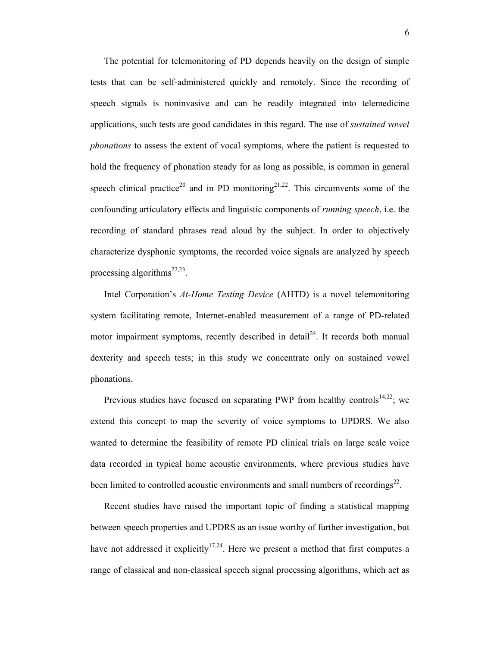The potential for telemonitoring of PD depends heavily on the design of simple tests that can be self-administered quickly and remotely. Since the recording of speech signals is noninvasive and can be readily integrated into telemedicine applications, such tests are good candidates in this regard. The use of *sustained vowel phonations* to assess the extent of vocal symptoms, where the patient is requested to hold the frequency of phonation steady for as long as possible, is common in general speech clinical practice<sup>20</sup> and in PD monitoring<sup>21,22</sup>. This circumvents some of the confounding articulatory effects and linguistic components of *running speech*, i.e. the recording of standard phrases read aloud by the subject. In order to objectively characterize dysphonic symptoms, the recorded voice signals are analyzed by speech processing algorithms<sup>22,23</sup>.

 Intel Corporation's *At-Home Testing Device* (AHTD) is a novel telemonitoring system facilitating remote, Internet-enabled measurement of a range of PD-related motor impairment symptoms, recently described in detail<sup>24</sup>. It records both manual dexterity and speech tests; in this study we concentrate only on sustained vowel phonations.

Previous studies have focused on separating PWP from healthy controls<sup>14,22</sup>; we extend this concept to map the severity of voice symptoms to UPDRS. We also wanted to determine the feasibility of remote PD clinical trials on large scale voice data recorded in typical home acoustic environments, where previous studies have been limited to controlled acoustic environments and small numbers of recordings $^{22}$ .

 Recent studies have raised the important topic of finding a statistical mapping between speech properties and UPDRS as an issue worthy of further investigation, but have not addressed it explicitly<sup>17,24</sup>. Here we present a method that first computes a range of classical and non-classical speech signal processing algorithms, which act as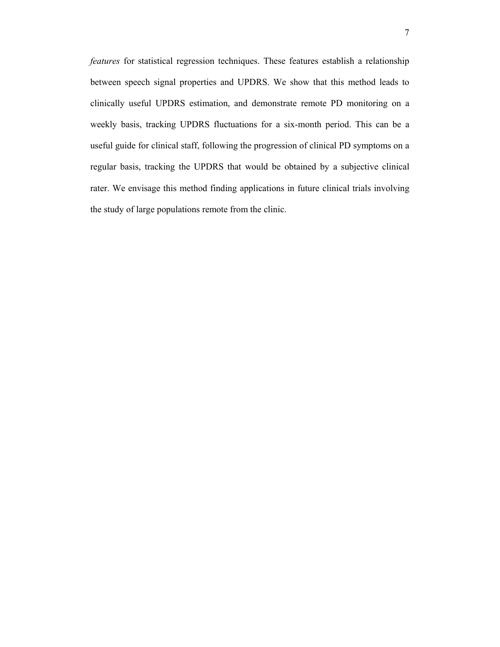*features* for statistical regression techniques. These features establish a relationship between speech signal properties and UPDRS. We show that this method leads to clinically useful UPDRS estimation, and demonstrate remote PD monitoring on a weekly basis, tracking UPDRS fluctuations for a six-month period. This can be a useful guide for clinical staff, following the progression of clinical PD symptoms on a regular basis, tracking the UPDRS that would be obtained by a subjective clinical rater. We envisage this method finding applications in future clinical trials involving the study of large populations remote from the clinic.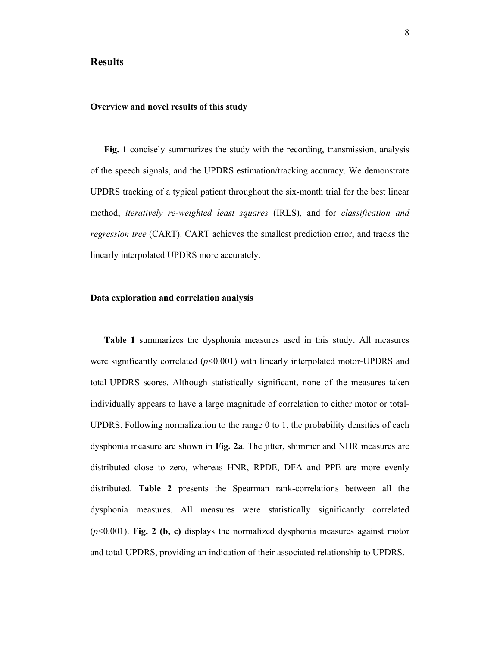## **Results**

#### **Overview and novel results of this study**

**Fig. 1** concisely summarizes the study with the recording, transmission, analysis of the speech signals, and the UPDRS estimation/tracking accuracy. We demonstrate UPDRS tracking of a typical patient throughout the six-month trial for the best linear method, *iteratively re-weighted least squares* (IRLS), and for *classification and regression tree* (CART). CART achieves the smallest prediction error, and tracks the linearly interpolated UPDRS more accurately.

## **Data exploration and correlation analysis**

**Table 1** summarizes the dysphonia measures used in this study. All measures were significantly correlated  $(p<0.001)$  with linearly interpolated motor-UPDRS and total-UPDRS scores. Although statistically significant, none of the measures taken individually appears to have a large magnitude of correlation to either motor or total-UPDRS. Following normalization to the range 0 to 1, the probability densities of each dysphonia measure are shown in **Fig. 2a**. The jitter, shimmer and NHR measures are distributed close to zero, whereas HNR, RPDE, DFA and PPE are more evenly distributed. **Table 2** presents the Spearman rank-correlations between all the dysphonia measures. All measures were statistically significantly correlated (*p*<0.001). **Fig. 2 (b, c)** displays the normalized dysphonia measures against motor and total-UPDRS, providing an indication of their associated relationship to UPDRS.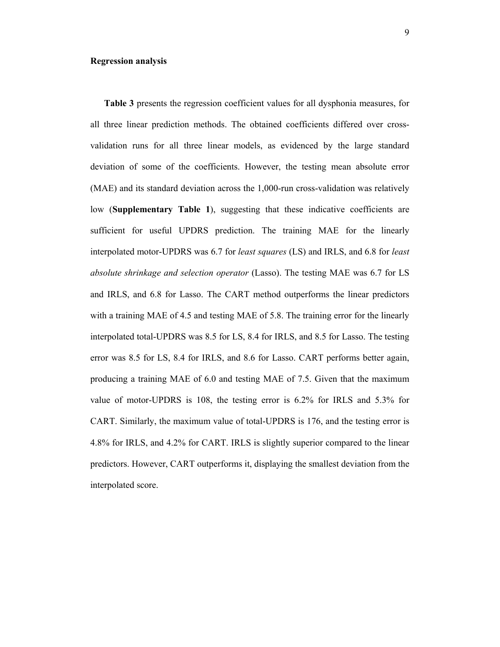#### **Regression analysis**

**Table 3** presents the regression coefficient values for all dysphonia measures, for all three linear prediction methods. The obtained coefficients differed over crossvalidation runs for all three linear models, as evidenced by the large standard deviation of some of the coefficients. However, the testing mean absolute error (MAE) and its standard deviation across the 1,000-run cross-validation was relatively low (**Supplementary Table 1**), suggesting that these indicative coefficients are sufficient for useful UPDRS prediction. The training MAE for the linearly interpolated motor-UPDRS was 6.7 for *least squares* (LS) and IRLS, and 6.8 for *least absolute shrinkage and selection operator* (Lasso). The testing MAE was 6.7 for LS and IRLS, and 6.8 for Lasso. The CART method outperforms the linear predictors with a training MAE of 4.5 and testing MAE of 5.8. The training error for the linearly interpolated total-UPDRS was 8.5 for LS, 8.4 for IRLS, and 8.5 for Lasso. The testing error was 8.5 for LS, 8.4 for IRLS, and 8.6 for Lasso. CART performs better again, producing a training MAE of 6.0 and testing MAE of 7.5. Given that the maximum value of motor-UPDRS is 108, the testing error is 6.2% for IRLS and 5.3% for CART. Similarly, the maximum value of total-UPDRS is 176, and the testing error is 4.8% for IRLS, and 4.2% for CART. IRLS is slightly superior compared to the linear predictors. However, CART outperforms it, displaying the smallest deviation from the interpolated score.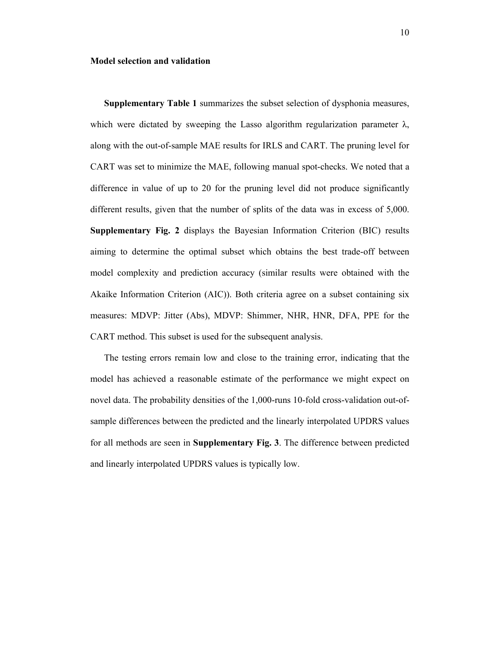#### **Model selection and validation**

**Supplementary Table 1** summarizes the subset selection of dysphonia measures, which were dictated by sweeping the Lasso algorithm regularization parameter  $\lambda$ , along with the out-of-sample MAE results for IRLS and CART. The pruning level for CART was set to minimize the MAE, following manual spot-checks. We noted that a difference in value of up to 20 for the pruning level did not produce significantly different results, given that the number of splits of the data was in excess of 5,000. **Supplementary Fig. 2** displays the Bayesian Information Criterion (BIC) results aiming to determine the optimal subset which obtains the best trade-off between model complexity and prediction accuracy (similar results were obtained with the Akaike Information Criterion (AIC)). Both criteria agree on a subset containing six measures: MDVP: Jitter (Abs), MDVP: Shimmer, NHR, HNR, DFA, PPE for the CART method. This subset is used for the subsequent analysis.

 The testing errors remain low and close to the training error, indicating that the model has achieved a reasonable estimate of the performance we might expect on novel data. The probability densities of the 1,000-runs 10-fold cross-validation out-ofsample differences between the predicted and the linearly interpolated UPDRS values for all methods are seen in **Supplementary Fig. 3**. The difference between predicted and linearly interpolated UPDRS values is typically low.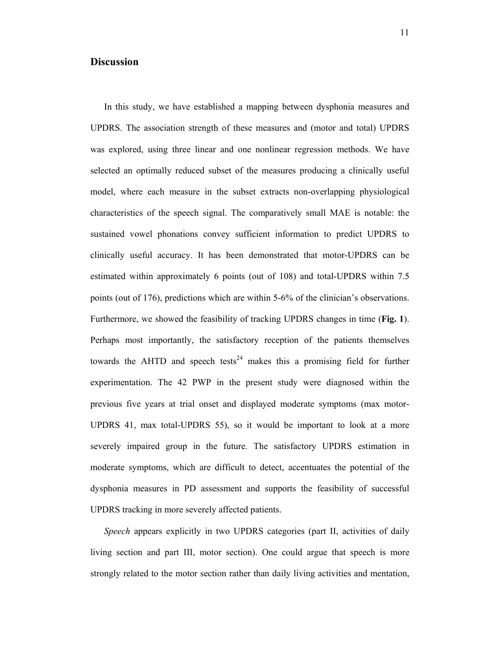# **Discussion**

 In this study, we have established a mapping between dysphonia measures and UPDRS. The association strength of these measures and (motor and total) UPDRS was explored, using three linear and one nonlinear regression methods. We have selected an optimally reduced subset of the measures producing a clinically useful model, where each measure in the subset extracts non-overlapping physiological characteristics of the speech signal. The comparatively small MAE is notable: the sustained vowel phonations convey sufficient information to predict UPDRS to clinically useful accuracy. It has been demonstrated that motor-UPDRS can be estimated within approximately 6 points (out of 108) and total-UPDRS within 7.5 points (out of 176), predictions which are within 5-6% of the clinician's observations. Furthermore, we showed the feasibility of tracking UPDRS changes in time (**Fig. 1**). Perhaps most importantly, the satisfactory reception of the patients themselves towards the AHTD and speech tests<sup>24</sup> makes this a promising field for further experimentation. The 42 PWP in the present study were diagnosed within the previous five years at trial onset and displayed moderate symptoms (max motor-UPDRS 41, max total-UPDRS 55), so it would be important to look at a more severely impaired group in the future. The satisfactory UPDRS estimation in moderate symptoms, which are difficult to detect, accentuates the potential of the dysphonia measures in PD assessment and supports the feasibility of successful UPDRS tracking in more severely affected patients.

 *Speech* appears explicitly in two UPDRS categories (part II, activities of daily living section and part III, motor section). One could argue that speech is more strongly related to the motor section rather than daily living activities and mentation,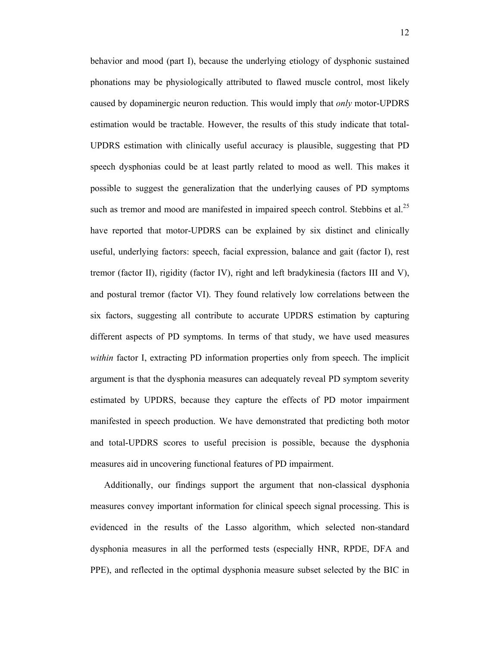behavior and mood (part I), because the underlying etiology of dysphonic sustained phonations may be physiologically attributed to flawed muscle control, most likely caused by dopaminergic neuron reduction. This would imply that *only* motor-UPDRS estimation would be tractable. However, the results of this study indicate that total-UPDRS estimation with clinically useful accuracy is plausible, suggesting that PD speech dysphonias could be at least partly related to mood as well. This makes it possible to suggest the generalization that the underlying causes of PD symptoms such as tremor and mood are manifested in impaired speech control. Stebbins et al.<sup>25</sup> have reported that motor-UPDRS can be explained by six distinct and clinically useful, underlying factors: speech, facial expression, balance and gait (factor I), rest tremor (factor II), rigidity (factor IV), right and left bradykinesia (factors III and V), and postural tremor (factor VI). They found relatively low correlations between the six factors, suggesting all contribute to accurate UPDRS estimation by capturing different aspects of PD symptoms. In terms of that study, we have used measures *within* factor I, extracting PD information properties only from speech. The implicit argument is that the dysphonia measures can adequately reveal PD symptom severity estimated by UPDRS, because they capture the effects of PD motor impairment manifested in speech production. We have demonstrated that predicting both motor and total-UPDRS scores to useful precision is possible, because the dysphonia measures aid in uncovering functional features of PD impairment.

 Additionally, our findings support the argument that non-classical dysphonia measures convey important information for clinical speech signal processing. This is evidenced in the results of the Lasso algorithm, which selected non-standard dysphonia measures in all the performed tests (especially HNR, RPDE, DFA and PPE), and reflected in the optimal dysphonia measure subset selected by the BIC in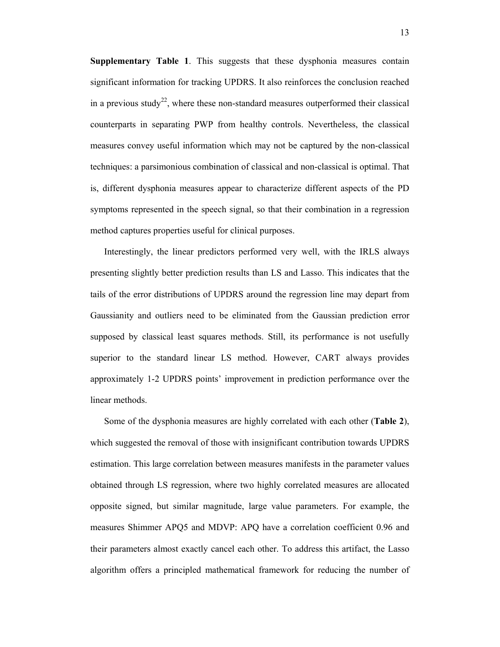**Supplementary Table 1**. This suggests that these dysphonia measures contain significant information for tracking UPDRS. It also reinforces the conclusion reached in a previous study<sup>22</sup>, where these non-standard measures outperformed their classical counterparts in separating PWP from healthy controls. Nevertheless, the classical measures convey useful information which may not be captured by the non-classical techniques: a parsimonious combination of classical and non-classical is optimal. That is, different dysphonia measures appear to characterize different aspects of the PD symptoms represented in the speech signal, so that their combination in a regression method captures properties useful for clinical purposes.

 Interestingly, the linear predictors performed very well, with the IRLS always presenting slightly better prediction results than LS and Lasso. This indicates that the tails of the error distributions of UPDRS around the regression line may depart from Gaussianity and outliers need to be eliminated from the Gaussian prediction error supposed by classical least squares methods. Still, its performance is not usefully superior to the standard linear LS method. However, CART always provides approximately 1-2 UPDRS points' improvement in prediction performance over the linear methods.

 Some of the dysphonia measures are highly correlated with each other (**Table 2**), which suggested the removal of those with insignificant contribution towards UPDRS estimation. This large correlation between measures manifests in the parameter values obtained through LS regression, where two highly correlated measures are allocated opposite signed, but similar magnitude, large value parameters. For example, the measures Shimmer APQ5 and MDVP: APQ have a correlation coefficient 0.96 and their parameters almost exactly cancel each other. To address this artifact, the Lasso algorithm offers a principled mathematical framework for reducing the number of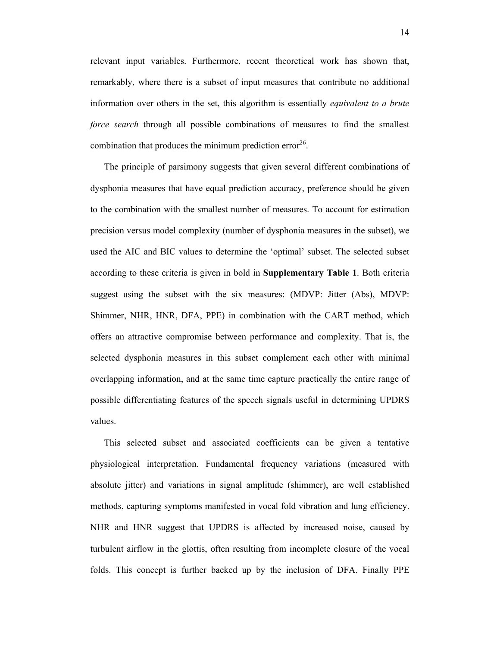relevant input variables. Furthermore, recent theoretical work has shown that, remarkably, where there is a subset of input measures that contribute no additional information over others in the set, this algorithm is essentially *equivalent to a brute force search* through all possible combinations of measures to find the smallest combination that produces the minimum prediction error $^{26}$ .

 The principle of parsimony suggests that given several different combinations of dysphonia measures that have equal prediction accuracy, preference should be given to the combination with the smallest number of measures. To account for estimation precision versus model complexity (number of dysphonia measures in the subset), we used the AIC and BIC values to determine the 'optimal' subset. The selected subset according to these criteria is given in bold in **Supplementary Table 1**. Both criteria suggest using the subset with the six measures: (MDVP: Jitter (Abs), MDVP: Shimmer, NHR, HNR, DFA, PPE) in combination with the CART method, which offers an attractive compromise between performance and complexity. That is, the selected dysphonia measures in this subset complement each other with minimal overlapping information, and at the same time capture practically the entire range of possible differentiating features of the speech signals useful in determining UPDRS values.

 This selected subset and associated coefficients can be given a tentative physiological interpretation. Fundamental frequency variations (measured with absolute jitter) and variations in signal amplitude (shimmer), are well established methods, capturing symptoms manifested in vocal fold vibration and lung efficiency. NHR and HNR suggest that UPDRS is affected by increased noise, caused by turbulent airflow in the glottis, often resulting from incomplete closure of the vocal folds. This concept is further backed up by the inclusion of DFA. Finally PPE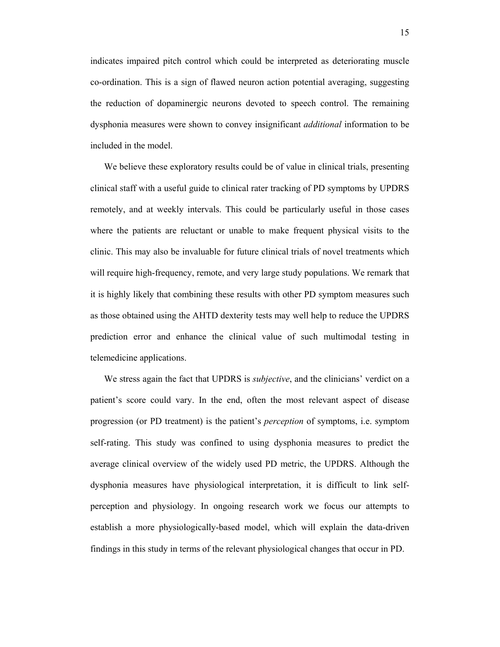indicates impaired pitch control which could be interpreted as deteriorating muscle co-ordination. This is a sign of flawed neuron action potential averaging, suggesting the reduction of dopaminergic neurons devoted to speech control. The remaining dysphonia measures were shown to convey insignificant *additional* information to be included in the model.

 We believe these exploratory results could be of value in clinical trials, presenting clinical staff with a useful guide to clinical rater tracking of PD symptoms by UPDRS remotely, and at weekly intervals. This could be particularly useful in those cases where the patients are reluctant or unable to make frequent physical visits to the clinic. This may also be invaluable for future clinical trials of novel treatments which will require high-frequency, remote, and very large study populations. We remark that it is highly likely that combining these results with other PD symptom measures such as those obtained using the AHTD dexterity tests may well help to reduce the UPDRS prediction error and enhance the clinical value of such multimodal testing in telemedicine applications.

 We stress again the fact that UPDRS is *subjective*, and the clinicians' verdict on a patient's score could vary. In the end, often the most relevant aspect of disease progression (or PD treatment) is the patient's *perception* of symptoms, i.e. symptom self-rating. This study was confined to using dysphonia measures to predict the average clinical overview of the widely used PD metric, the UPDRS. Although the dysphonia measures have physiological interpretation, it is difficult to link selfperception and physiology. In ongoing research work we focus our attempts to establish a more physiologically-based model, which will explain the data-driven findings in this study in terms of the relevant physiological changes that occur in PD.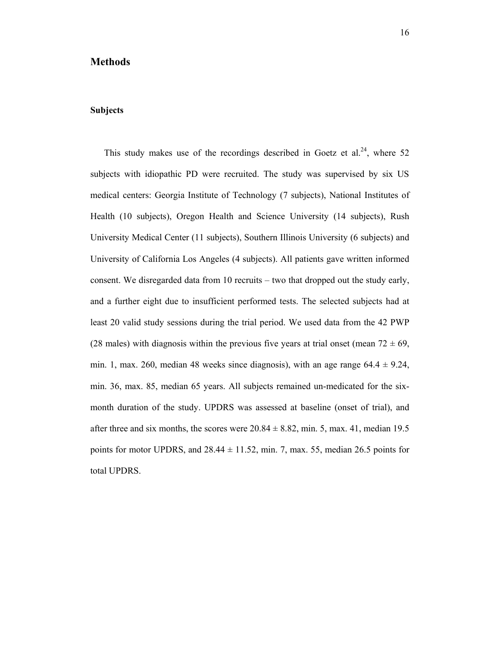## **Methods**

## **Subjects**

This study makes use of the recordings described in Goetz et al.<sup>24</sup>, where 52 subjects with idiopathic PD were recruited. The study was supervised by six US medical centers: Georgia Institute of Technology (7 subjects), National Institutes of Health (10 subjects), Oregon Health and Science University (14 subjects), Rush University Medical Center (11 subjects), Southern Illinois University (6 subjects) and University of California Los Angeles (4 subjects). All patients gave written informed consent. We disregarded data from 10 recruits – two that dropped out the study early, and a further eight due to insufficient performed tests. The selected subjects had at least 20 valid study sessions during the trial period. We used data from the 42 PWP (28 males) with diagnosis within the previous five years at trial onset (mean  $72 \pm 69$ , min. 1, max. 260, median 48 weeks since diagnosis), with an age range  $64.4 \pm 9.24$ , min. 36, max. 85, median 65 years. All subjects remained un-medicated for the sixmonth duration of the study. UPDRS was assessed at baseline (onset of trial), and after three and six months, the scores were  $20.84 \pm 8.82$ , min. 5, max. 41, median 19.5 points for motor UPDRS, and  $28.44 \pm 11.52$ , min. 7, max. 55, median 26.5 points for total UPDRS.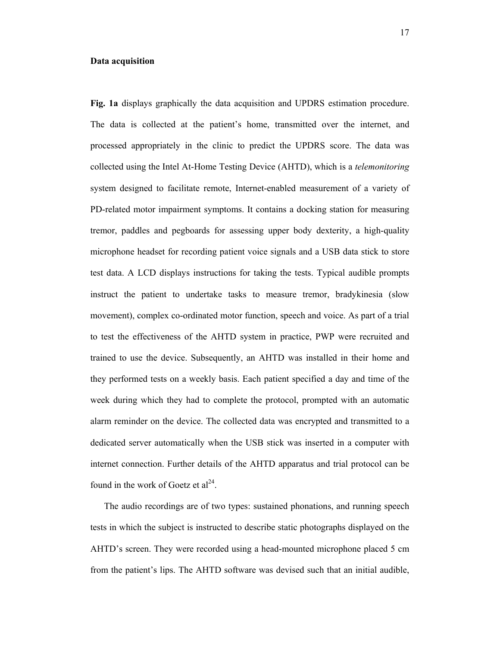#### **Data acquisition**

**Fig. 1a** displays graphically the data acquisition and UPDRS estimation procedure. The data is collected at the patient's home, transmitted over the internet, and processed appropriately in the clinic to predict the UPDRS score. The data was collected using the Intel At-Home Testing Device (AHTD), which is a *telemonitoring* system designed to facilitate remote, Internet-enabled measurement of a variety of PD-related motor impairment symptoms. It contains a docking station for measuring tremor, paddles and pegboards for assessing upper body dexterity, a high-quality microphone headset for recording patient voice signals and a USB data stick to store test data. A LCD displays instructions for taking the tests. Typical audible prompts instruct the patient to undertake tasks to measure tremor, bradykinesia (slow movement), complex co-ordinated motor function, speech and voice. As part of a trial to test the effectiveness of the AHTD system in practice, PWP were recruited and trained to use the device. Subsequently, an AHTD was installed in their home and they performed tests on a weekly basis. Each patient specified a day and time of the week during which they had to complete the protocol, prompted with an automatic alarm reminder on the device. The collected data was encrypted and transmitted to a dedicated server automatically when the USB stick was inserted in a computer with internet connection. Further details of the AHTD apparatus and trial protocol can be found in the work of Goetz et  $al<sup>24</sup>$ .

 The audio recordings are of two types: sustained phonations, and running speech tests in which the subject is instructed to describe static photographs displayed on the AHTD's screen. They were recorded using a head-mounted microphone placed 5 cm from the patient's lips. The AHTD software was devised such that an initial audible,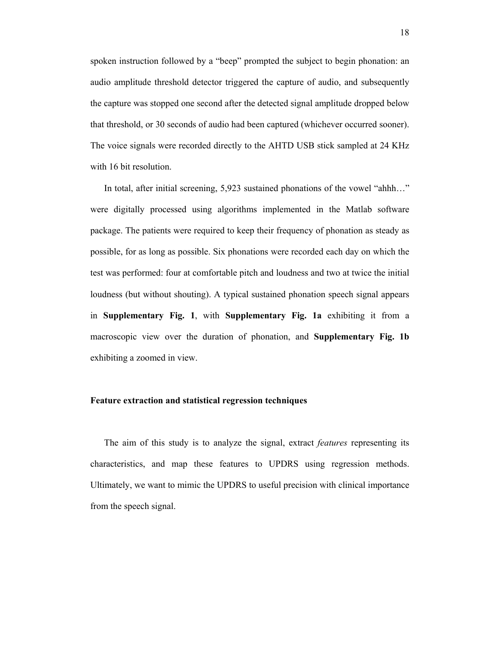spoken instruction followed by a "beep" prompted the subject to begin phonation: an audio amplitude threshold detector triggered the capture of audio, and subsequently the capture was stopped one second after the detected signal amplitude dropped below that threshold, or 30 seconds of audio had been captured (whichever occurred sooner). The voice signals were recorded directly to the AHTD USB stick sampled at 24 KHz with 16 bit resolution.

 In total, after initial screening, 5,923 sustained phonations of the vowel "ahhh…" were digitally processed using algorithms implemented in the Matlab software package. The patients were required to keep their frequency of phonation as steady as possible, for as long as possible. Six phonations were recorded each day on which the test was performed: four at comfortable pitch and loudness and two at twice the initial loudness (but without shouting). A typical sustained phonation speech signal appears in **Supplementary Fig. 1**, with **Supplementary Fig. 1a** exhibiting it from a macroscopic view over the duration of phonation, and **Supplementary Fig. 1b** exhibiting a zoomed in view.

### **Feature extraction and statistical regression techniques**

 The aim of this study is to analyze the signal, extract *features* representing its characteristics, and map these features to UPDRS using regression methods. Ultimately, we want to mimic the UPDRS to useful precision with clinical importance from the speech signal.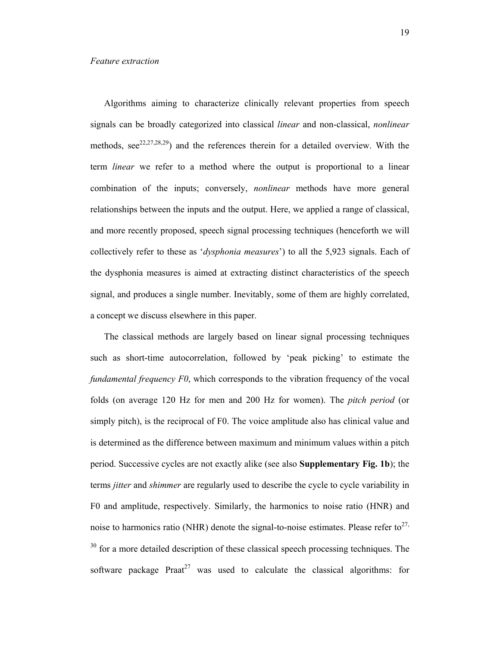Algorithms aiming to characterize clinically relevant properties from speech signals can be broadly categorized into classical *linear* and non-classical, *nonlinear* methods,  $\sec^{22,27,28,29}$  and the references therein for a detailed overview. With the term *linear* we refer to a method where the output is proportional to a linear combination of the inputs; conversely, *nonlinear* methods have more general relationships between the inputs and the output. Here, we applied a range of classical, and more recently proposed, speech signal processing techniques (henceforth we will collectively refer to these as '*dysphonia measures*') to all the 5,923 signals. Each of the dysphonia measures is aimed at extracting distinct characteristics of the speech signal, and produces a single number. Inevitably, some of them are highly correlated, a concept we discuss elsewhere in this paper.

 The classical methods are largely based on linear signal processing techniques such as short-time autocorrelation, followed by 'peak picking' to estimate the *fundamental frequency F0*, which corresponds to the vibration frequency of the vocal folds (on average 120 Hz for men and 200 Hz for women). The *pitch period* (or simply pitch), is the reciprocal of F0. The voice amplitude also has clinical value and is determined as the difference between maximum and minimum values within a pitch period. Successive cycles are not exactly alike (see also **Supplementary Fig. 1b**); the terms *jitter* and *shimmer* are regularly used to describe the cycle to cycle variability in F0 and amplitude, respectively. Similarly, the harmonics to noise ratio (HNR) and noise to harmonics ratio (NHR) denote the signal-to-noise estimates. Please refer to<sup>27,</sup>  $30$  for a more detailed description of these classical speech processing techniques. The software package Praat<sup>27</sup> was used to calculate the classical algorithms: for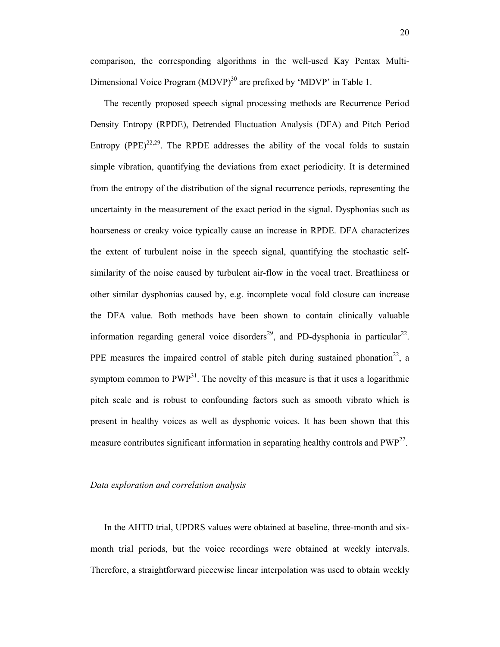comparison, the corresponding algorithms in the well-used Kay Pentax Multi-Dimensional Voice Program (MDVP)<sup>30</sup> are prefixed by 'MDVP' in Table 1.

 The recently proposed speech signal processing methods are Recurrence Period Density Entropy (RPDE), Detrended Fluctuation Analysis (DFA) and Pitch Period Entropy (PPE)<sup>22,29</sup>. The RPDE addresses the ability of the vocal folds to sustain simple vibration, quantifying the deviations from exact periodicity. It is determined from the entropy of the distribution of the signal recurrence periods, representing the uncertainty in the measurement of the exact period in the signal. Dysphonias such as hoarseness or creaky voice typically cause an increase in RPDE. DFA characterizes the extent of turbulent noise in the speech signal, quantifying the stochastic selfsimilarity of the noise caused by turbulent air-flow in the vocal tract. Breathiness or other similar dysphonias caused by, e.g. incomplete vocal fold closure can increase the DFA value. Both methods have been shown to contain clinically valuable information regarding general voice disorders<sup>29</sup>, and PD-dysphonia in particular<sup>22</sup>. PPE measures the impaired control of stable pitch during sustained phonation<sup>22</sup>, a symptom common to  $PWP<sup>31</sup>$ . The novelty of this measure is that it uses a logarithmic pitch scale and is robust to confounding factors such as smooth vibrato which is present in healthy voices as well as dysphonic voices. It has been shown that this measure contributes significant information in separating healthy controls and  $PWP^{22}$ .

#### *Data exploration and correlation analysis*

 In the AHTD trial, UPDRS values were obtained at baseline, three-month and sixmonth trial periods, but the voice recordings were obtained at weekly intervals. Therefore, a straightforward piecewise linear interpolation was used to obtain weekly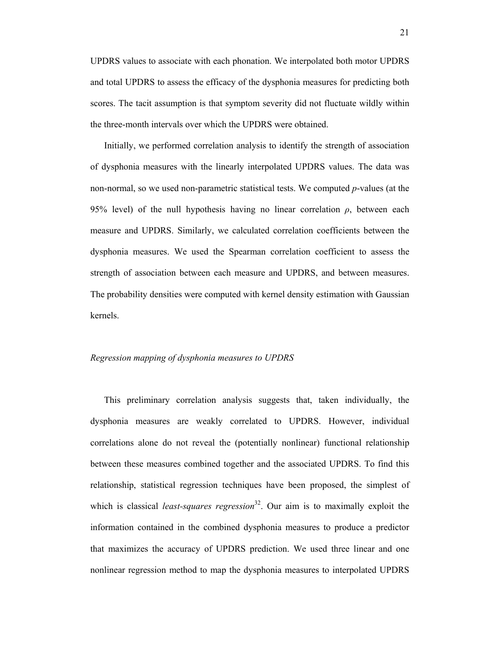UPDRS values to associate with each phonation. We interpolated both motor UPDRS and total UPDRS to assess the efficacy of the dysphonia measures for predicting both scores. The tacit assumption is that symptom severity did not fluctuate wildly within the three-month intervals over which the UPDRS were obtained.

 Initially, we performed correlation analysis to identify the strength of association of dysphonia measures with the linearly interpolated UPDRS values. The data was non-normal, so we used non-parametric statistical tests. We computed *p*-values (at the 95% level) of the null hypothesis having no linear correlation  $\rho$ , between each measure and UPDRS. Similarly, we calculated correlation coefficients between the dysphonia measures. We used the Spearman correlation coefficient to assess the strength of association between each measure and UPDRS, and between measures. The probability densities were computed with kernel density estimation with Gaussian kernels.

#### *Regression mapping of dysphonia measures to UPDRS*

 This preliminary correlation analysis suggests that, taken individually, the dysphonia measures are weakly correlated to UPDRS. However, individual correlations alone do not reveal the (potentially nonlinear) functional relationship between these measures combined together and the associated UPDRS. To find this relationship, statistical regression techniques have been proposed, the simplest of which is classical *least-squares regression*<sup>32</sup>. Our aim is to maximally exploit the information contained in the combined dysphonia measures to produce a predictor that maximizes the accuracy of UPDRS prediction. We used three linear and one nonlinear regression method to map the dysphonia measures to interpolated UPDRS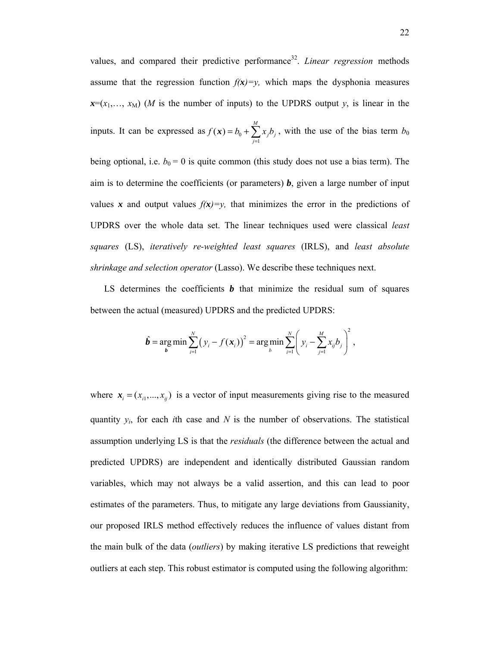values, and compared their predictive performance<sup>32</sup>. *Linear regression* methods assume that the regression function  $f(x)=y$ , which maps the dysphonia measures  $x=(x_1,...,x_M)$  (*M* is the number of inputs) to the UPDRS output *y*, is linear in the inputs. It can be expressed as  $f(x) = b_0 + \sum_{j=1}^{\infty} a_j$  $(x) = b_0 + \sum_{i=1}^{M}$  $\sum_{j=1}^{\infty}$ <sup> $\lambda$ </sup>  $j$ <sup> $U$ </sup>  $j$  $f(x) = b_0 + \sum x_i b$  $f(x) = b_0 + \sum_{j=1} x_j b_j$ , with the use of the bias term *b*<sub>0</sub> being optional, i.e.  $b_0 = 0$  is quite common (this study does not use a bias term). The aim is to determine the coefficients (or parameters)  $\boldsymbol{b}$ , given a large number of input values *x* and output values  $f(x)=y$ , that minimizes the error in the predictions of UPDRS over the whole data set. The linear techniques used were classical *least* 

*squares* (LS), *iteratively re-weighted least squares* (IRLS), and *least absolute shrinkage and selection operator* (Lasso). We describe these techniques next.

LS determines the coefficients  $\boldsymbol{b}$  that minimize the residual sum of squares between the actual (measured) UPDRS and the predicted UPDRS:

$$
\hat{b} = \underset{b}{\arg \min} \sum_{i=1}^{N} (y_i - f(x_i))^2 = \underset{b}{\arg \min} \sum_{i=1}^{N} \left( y_i - \sum_{j=1}^{M} x_{ij} b_j \right)^2,
$$

where  $x_i = (x_{i1},..., x_{ij})$  is a vector of input measurements giving rise to the measured quantity  $y_i$ , for each *i*th case and  $N$  is the number of observations. The statistical assumption underlying LS is that the *residuals* (the difference between the actual and predicted UPDRS) are independent and identically distributed Gaussian random variables, which may not always be a valid assertion, and this can lead to poor estimates of the parameters. Thus, to mitigate any large deviations from Gaussianity, our proposed IRLS method effectively reduces the influence of values distant from the main bulk of the data (*outliers*) by making iterative LS predictions that reweight outliers at each step. This robust estimator is computed using the following algorithm: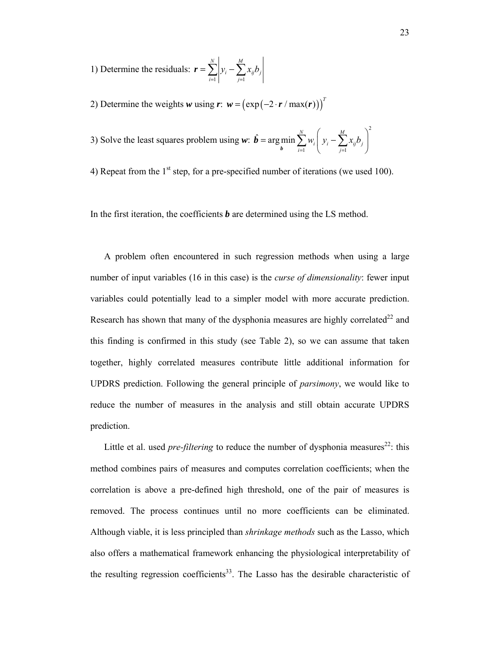1) Determine the residuals:  $\mathbf{r} = \sum_{i=1}^{N} \left| y_i - \sum_{j=1}^{M} \right|$  $\sum_{i=1}^{\infty}$   $\begin{cases} y_i & \sum_{j=1}^{\infty} x_{ij} v_j \end{cases}$  $y_i - \sum x_{ii}b$  $\boldsymbol{r} = \sum_{i=1}^n \left| \mathcal{Y}_i - \sum_{j=1}^n \right|$ 

2) Determine the weights *w* using  $\mathbf{r}: \mathbf{w} = (\exp(-2 \cdot \mathbf{r} / \max(\mathbf{r})))^T$ 

3) Solve the least squares problem using *w*: 2 1  $j=1$  $\hat{\boldsymbol{\theta}} = \arg \min \sum_{i=1}^{N} w_i \left( y_i - \sum_{i=1}^{M} \right)$  $\sum_{i=1}^{W_i} \begin{bmatrix} y_i & \sum_{j=1}^{N_i} y_j \end{bmatrix}$  $w_i | y_i - \sum x_{ii}b$  $=\argmin_{\mathbf{b}} \sum_{i=1}^{N} w_i \left( y_i - \sum_{j=1}^{M} x_{ij} b_j \right)$ *b*

4) Repeat from the  $1<sup>st</sup>$  step, for a pre-specified number of iterations (we used 100).

In the first iteration, the coefficients *b* are determined using the LS method.

 A problem often encountered in such regression methods when using a large number of input variables (16 in this case) is the *curse of dimensionality*: fewer input variables could potentially lead to a simpler model with more accurate prediction. Research has shown that many of the dysphonia measures are highly correlated<sup>22</sup> and this finding is confirmed in this study (see Table 2), so we can assume that taken together, highly correlated measures contribute little additional information for UPDRS prediction. Following the general principle of *parsimony*, we would like to reduce the number of measures in the analysis and still obtain accurate UPDRS prediction.

Little et al. used *pre-filtering* to reduce the number of dysphonia measures<sup>22</sup>: this method combines pairs of measures and computes correlation coefficients; when the correlation is above a pre-defined high threshold, one of the pair of measures is removed. The process continues until no more coefficients can be eliminated. Although viable, it is less principled than *shrinkage methods* such as the Lasso, which also offers a mathematical framework enhancing the physiological interpretability of the resulting regression coefficients<sup>33</sup>. The Lasso has the desirable characteristic of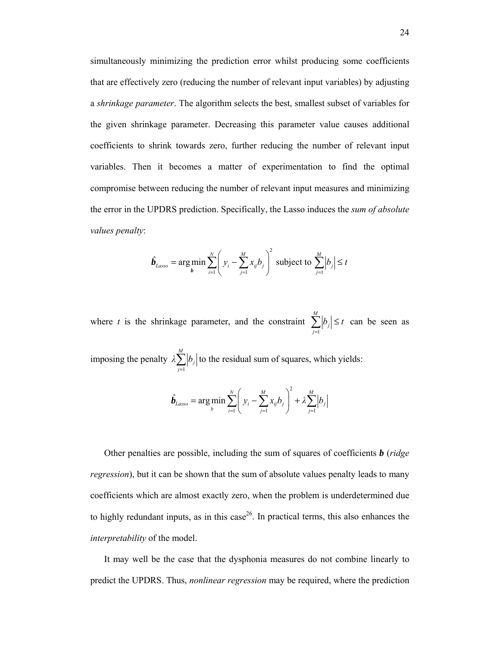simultaneously minimizing the prediction error whilst producing some coefficients that are effectively zero (reducing the number of relevant input variables) by adjusting a *shrinkage parameter*. The algorithm selects the best, smallest subset of variables for the given shrinkage parameter. Decreasing this parameter value causes additional coefficients to shrink towards zero, further reducing the number of relevant input variables. Then it becomes a matter of experimentation to find the optimal compromise between reducing the number of relevant input measures and minimizing the error in the UPDRS prediction. Specifically, the Lasso induces the *sum of absolute values penalty*:

$$
\hat{\boldsymbol{b}}_{Lasso} = \arg\min_{\boldsymbol{b}} \sum_{i=1}^{N} \left( y_i - \sum_{j=1}^{M} x_{ij} b_j \right)^2 \text{ subject to } \sum_{j=1}^{M} \left| b_j \right| \leq t
$$

where *t* is the shrinkage parameter, and the constraint  $\sum_{j=1}^{M}$  $\sum_{j=1}^{|{\cal U}_j|}$  $|b_i| \leq t$  $\sum_{j=1}^{\infty} |b_j| \leq t$  can be seen as imposing the penalty  $\lambda \sum_{j=1}^{M}$  $\sum_{j=1}^{|{\cal U}_j|}$ *λ b*  $\sum_{j=1}^{\infty} |b_j|$  to the residual sum of squares, which yields:

$$
\hat{b}_{Lasso} = \arg \min_{b} \sum_{i=1}^{N} \left( y_i - \sum_{j=1}^{M} x_{ij} b_j \right)^2 + \lambda \sum_{j=1}^{M} |b_j|
$$

 Other penalties are possible, including the sum of squares of coefficients *b* (*ridge regression*), but it can be shown that the sum of absolute values penalty leads to many coefficients which are almost exactly zero, when the problem is underdetermined due to highly redundant inputs, as in this case<sup>26</sup>. In practical terms, this also enhances the *interpretability* of the model.

 It may well be the case that the dysphonia measures do not combine linearly to predict the UPDRS. Thus, *nonlinear regression* may be required, where the prediction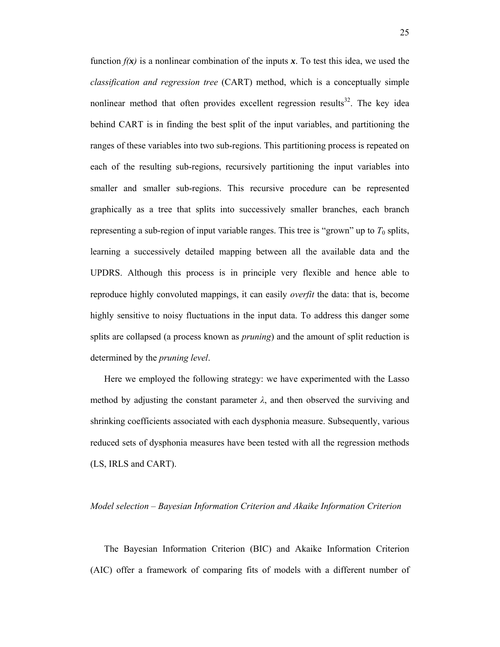function  $f(x)$  is a nonlinear combination of the inputs x. To test this idea, we used the *classification and regression tree* (CART) method, which is a conceptually simple nonlinear method that often provides excellent regression results<sup>32</sup>. The key idea behind CART is in finding the best split of the input variables, and partitioning the ranges of these variables into two sub-regions. This partitioning process is repeated on each of the resulting sub-regions, recursively partitioning the input variables into smaller and smaller sub-regions. This recursive procedure can be represented graphically as a tree that splits into successively smaller branches, each branch representing a sub-region of input variable ranges. This tree is "grown" up to  $T_0$  splits, learning a successively detailed mapping between all the available data and the UPDRS. Although this process is in principle very flexible and hence able to reproduce highly convoluted mappings, it can easily *overfit* the data: that is, become highly sensitive to noisy fluctuations in the input data. To address this danger some splits are collapsed (a process known as *pruning*) and the amount of split reduction is determined by the *pruning level*.

 Here we employed the following strategy: we have experimented with the Lasso method by adjusting the constant parameter  $\lambda$ , and then observed the surviving and shrinking coefficients associated with each dysphonia measure. Subsequently, various reduced sets of dysphonia measures have been tested with all the regression methods (LS, IRLS and CART).

#### *Model selection – Bayesian Information Criterion and Akaike Information Criterion*

 The Bayesian Information Criterion (BIC) and Akaike Information Criterion (AIC) offer a framework of comparing fits of models with a different number of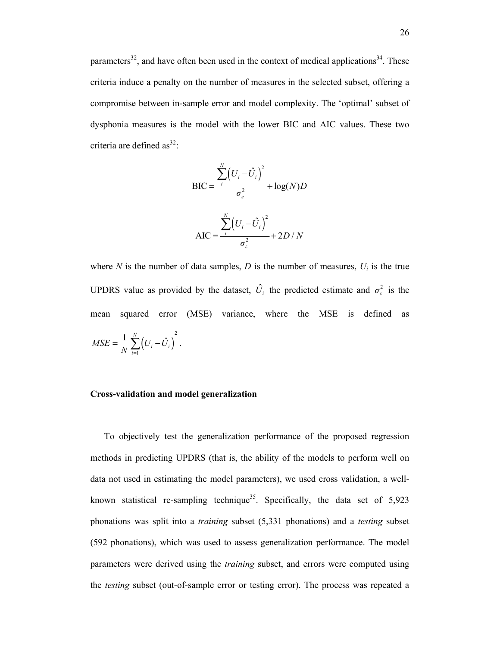parameters<sup>32</sup>, and have often been used in the context of medical applications<sup>34</sup>. These criteria induce a penalty on the number of measures in the selected subset, offering a compromise between in-sample error and model complexity. The 'optimal' subset of dysphonia measures is the model with the lower BIC and AIC values. These two criteria are defined as<sup>32</sup>:

$$
BIC = \frac{\sum_{i}^{N} (U_i - \hat{U}_i)^2}{\sigma_{\varepsilon}^2} + \log(N)D
$$

$$
AIC = \frac{\sum_{i}^{N} (U_i - \hat{U}_i)^2}{\sigma_{\varepsilon}^2} + 2D/N
$$

where  $N$  is the number of data samples,  $D$  is the number of measures,  $U_i$  is the true UPDRS value as provided by the dataset,  $\hat{U}_i$  the predicted estimate and  $\sigma_{\varepsilon}^2$  is the mean squared error (MSE) variance, where the MSE is defined as

$$
MSE = \frac{1}{N} \sum_{i=1}^{N} (U_i - \hat{U}_i)^2.
$$

#### **Cross-validation and model generalization**

 To objectively test the generalization performance of the proposed regression methods in predicting UPDRS (that is, the ability of the models to perform well on data not used in estimating the model parameters), we used cross validation, a wellknown statistical re-sampling technique<sup>35</sup>. Specifically, the data set of  $5.923$ phonations was split into a *training* subset (5,331 phonations) and a *testing* subset (592 phonations), which was used to assess generalization performance. The model parameters were derived using the *training* subset, and errors were computed using the *testing* subset (out-of-sample error or testing error). The process was repeated a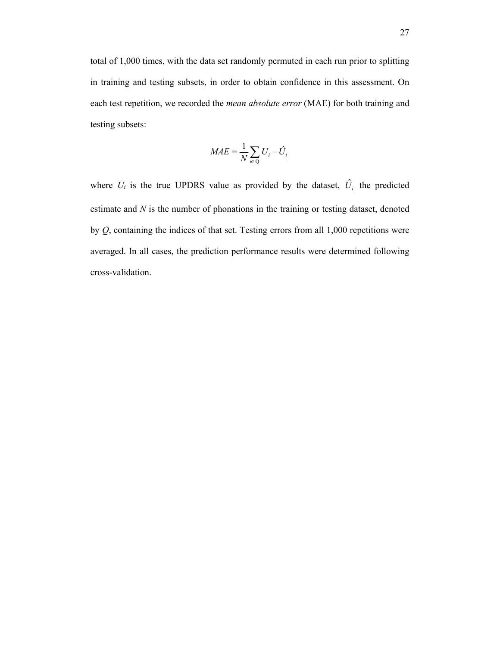total of 1,000 times, with the data set randomly permuted in each run prior to splitting in training and testing subsets, in order to obtain confidence in this assessment. On each test repetition, we recorded the *mean absolute error* (MAE) for both training and testing subsets:

$$
MAE = \frac{1}{N} \sum_{i \in Q} \left| U_i - \hat{U}_i \right|
$$

where  $U_i$  is the true UPDRS value as provided by the dataset,  $\hat{U}_i$  the predicted estimate and *N* is the number of phonations in the training or testing dataset, denoted by  $Q$ , containing the indices of that set. Testing errors from all  $1,000$  repetitions were averaged. In all cases, the prediction performance results were determined following cross-validation.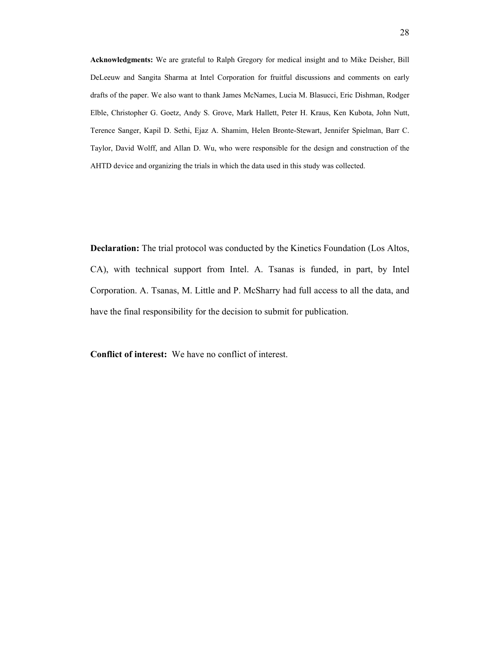**Acknowledgments:** We are grateful to Ralph Gregory for medical insight and to Mike Deisher, Bill DeLeeuw and Sangita Sharma at Intel Corporation for fruitful discussions and comments on early drafts of the paper. We also want to thank James McNames, Lucia M. Blasucci, Eric Dishman, Rodger Elble, Christopher G. Goetz, Andy S. Grove, Mark Hallett, Peter H. Kraus, Ken Kubota, John Nutt, Terence Sanger, Kapil D. Sethi, Ejaz A. Shamim, Helen Bronte-Stewart, Jennifer Spielman, Barr C. Taylor, David Wolff, and Allan D. Wu, who were responsible for the design and construction of the AHTD device and organizing the trials in which the data used in this study was collected.

**Declaration:** The trial protocol was conducted by the Kinetics Foundation (Los Altos, CA), with technical support from Intel. A. Tsanas is funded, in part, by Intel Corporation. A. Tsanas, M. Little and P. McSharry had full access to all the data, and have the final responsibility for the decision to submit for publication.

**Conflict of interest:** We have no conflict of interest.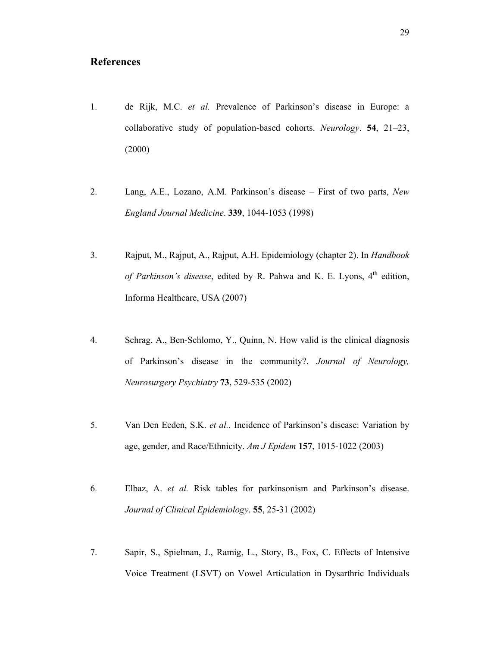# **References**

- 1. de Rijk, M.C. *et al.* Prevalence of Parkinson's disease in Europe: a collaborative study of population-based cohorts. *Neurology*. **54**, 21–23, (2000)
- 2. Lang, A.E., Lozano, A.M. Parkinson's disease First of two parts, *New England Journal Medicine*. **339**, 1044-1053 (1998)
- 3. Rajput, M., Rajput, A., Rajput, A.H. Epidemiology (chapter 2). In *Handbook*  of Parkinson's disease, edited by R. Pahwa and K. E. Lyons, 4<sup>th</sup> edition, Informa Healthcare, USA (2007)
- 4. Schrag, A., Ben-Schlomo, Y., Quinn, N. How valid is the clinical diagnosis of Parkinson's disease in the community?. *Journal of Neurology, Neurosurgery Psychiatry* **73**, 529-535 (2002)
- 5. Van Den Eeden, S.K. *et al.*. Incidence of Parkinson's disease: Variation by age, gender, and Race/Ethnicity. *Am J Epidem* **157**, 1015-1022 (2003)
- 6. Elbaz, A. *et al.* Risk tables for parkinsonism and Parkinson's disease. *Journal of Clinical Epidemiology*. **55**, 25-31 (2002)
- 7. Sapir, S., Spielman, J., Ramig, L., Story, B., Fox, C. Effects of Intensive Voice Treatment (LSVT) on Vowel Articulation in Dysarthric Individuals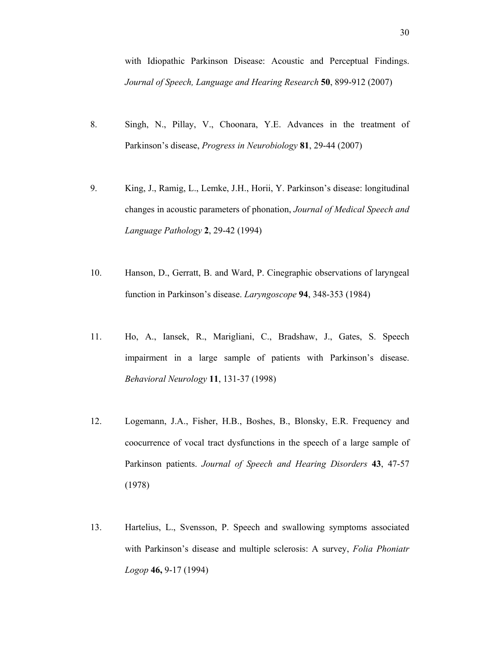with Idiopathic Parkinson Disease: Acoustic and Perceptual Findings. *Journal of Speech, Language and Hearing Research* **50**, 899-912 (2007)

- 8. Singh, N., Pillay, V., Choonara, Y.E. Advances in the treatment of Parkinson's disease, *Progress in Neurobiology* **81**, 29-44 (2007)
- 9. King, J., Ramig, L., Lemke, J.H., Horii, Y. Parkinson's disease: longitudinal changes in acoustic parameters of phonation, *Journal of Medical Speech and Language Pathology* **2**, 29-42 (1994)
- 10. Hanson, D., Gerratt, B. and Ward, P. Cinegraphic observations of laryngeal function in Parkinson's disease. *Laryngoscope* **94**, 348-353 (1984)
- 11. Ho, A., Iansek, R., Marigliani, C., Bradshaw, J., Gates, S. Speech impairment in a large sample of patients with Parkinson's disease. *Behavioral Neurology* **11**, 131-37 (1998)
- 12. Logemann, J.A., Fisher, H.B., Boshes, B., Blonsky, E.R. Frequency and coocurrence of vocal tract dysfunctions in the speech of a large sample of Parkinson patients. *Journal of Speech and Hearing Disorders* **43**, 47-57 (1978)
- 13. Hartelius, L., Svensson, P. Speech and swallowing symptoms associated with Parkinson's disease and multiple sclerosis: A survey, *Folia Phoniatr Logop* **46,** 9-17 (1994)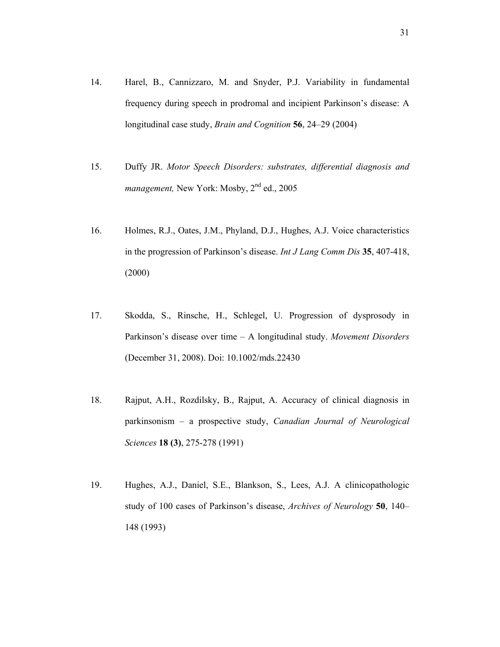- 14. Harel, B., Cannizzaro, M. and Snyder, P.J. Variability in fundamental frequency during speech in prodromal and incipient Parkinson's disease: A longitudinal case study, *Brain and Cognition* **56**, 24–29 (2004)
- 15. Duffy JR. *Motor Speech Disorders: substrates, differential diagnosis and management, New York: Mosby, 2<sup>nd</sup> ed., 2005*
- 16. Holmes, R.J., Oates, J.M., Phyland, D.J., Hughes, A.J. Voice characteristics in the progression of Parkinson's disease. *Int J Lang Comm Dis* **35**, 407-418, (2000)
- 17. Skodda, S., Rinsche, H., Schlegel, U. Progression of dysprosody in Parkinson's disease over time – A longitudinal study. *Movement Disorders* (December 31, 2008). Doi: 10.1002/mds.22430
- 18. Rajput, A.H., Rozdilsky, B., Rajput, A. Accuracy of clinical diagnosis in parkinsonism – a prospective study, *Canadian Journal of Neurological Sciences* **18 (3)**, 275-278 (1991)
- 19. Hughes, A.J., Daniel, S.E., Blankson, S., Lees, A.J. A clinicopathologic study of 100 cases of Parkinson's disease, *Archives of Neurology* **50**, 140– 148 (1993)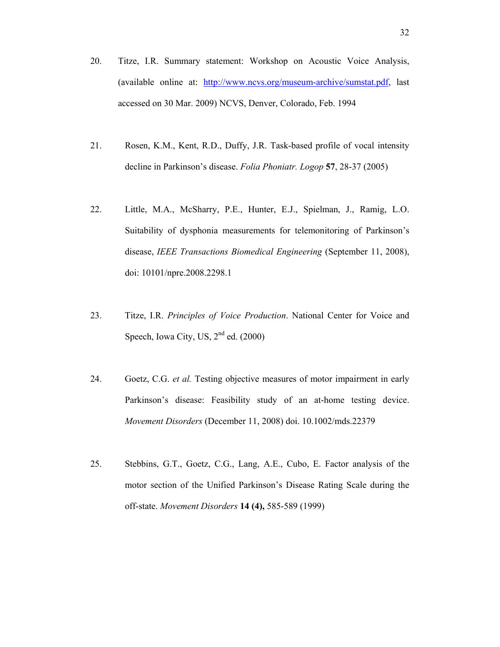- 20. Titze, I.R. Summary statement: Workshop on Acoustic Voice Analysis, (available online at: http://www.ncvs.org/museum-archive/sumstat.pdf, last accessed on 30 Mar. 2009) NCVS, Denver, Colorado, Feb. 1994
- 21. Rosen, K.M., Kent, R.D., Duffy, J.R. Task-based profile of vocal intensity decline in Parkinson's disease. *Folia Phoniatr. Logop* **57**, 28-37 (2005)
- 22. Little, M.A., McSharry, P.E., Hunter, E.J., Spielman, J., Ramig, L.O. Suitability of dysphonia measurements for telemonitoring of Parkinson's disease, *IEEE Transactions Biomedical Engineering* (September 11, 2008), doi: 10101/npre.2008.2298.1
- 23. Titze, I.R. *Principles of Voice Production*. National Center for Voice and Speech, Iowa City, US,  $2<sup>nd</sup>$  ed. (2000)
- 24. Goetz, C.G. *et al.* Testing objective measures of motor impairment in early Parkinson's disease: Feasibility study of an at-home testing device. *Movement Disorders* (December 11, 2008) doi. 10.1002/mds.22379
- 25. Stebbins, G.T., Goetz, C.G., Lang, A.E., Cubo, E. Factor analysis of the motor section of the Unified Parkinson's Disease Rating Scale during the off-state. *Movement Disorders* **14 (4),** 585-589 (1999)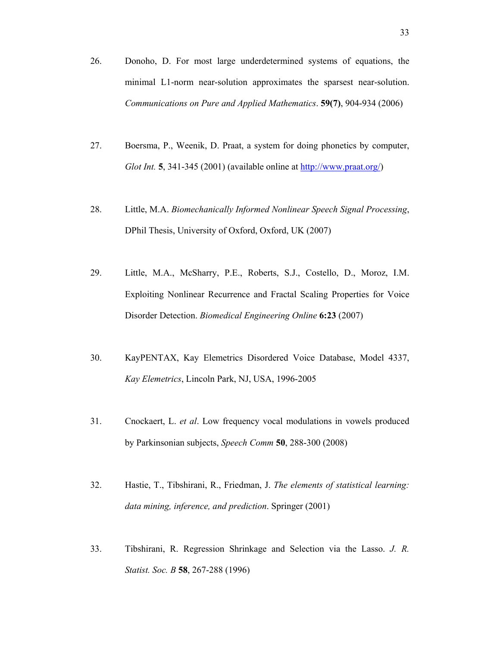- 26. Donoho, D. For most large underdetermined systems of equations, the minimal L1-norm near-solution approximates the sparsest near-solution. *Communications on Pure and Applied Mathematics*. **59(7)**, 904-934 (2006)
- 27. Boersma, P., Weenik, D. Praat, a system for doing phonetics by computer, *Glot Int.* **5**, 341-345 (2001) (available online at http://www.praat.org/)
- 28. Little, M.A. *Biomechanically Informed Nonlinear Speech Signal Processing*, DPhil Thesis, University of Oxford, Oxford, UK (2007)
- 29. Little, M.A., McSharry, P.E., Roberts, S.J., Costello, D., Moroz, I.M. Exploiting Nonlinear Recurrence and Fractal Scaling Properties for Voice Disorder Detection. *Biomedical Engineering Online* **6:23** (2007)
- 30. KayPENTAX, Kay Elemetrics Disordered Voice Database, Model 4337, *Kay Elemetrics*, Lincoln Park, NJ, USA, 1996-2005
- 31. Cnockaert, L. *et al*. Low frequency vocal modulations in vowels produced by Parkinsonian subjects, *Speech Comm* **50**, 288-300 (2008)
- 32. Hastie, T., Tibshirani, R., Friedman, J. *The elements of statistical learning: data mining, inference, and prediction*. Springer (2001)
- 33. Tibshirani, R. Regression Shrinkage and Selection via the Lasso. *J. R. Statist. Soc. B* **58**, 267-288 (1996)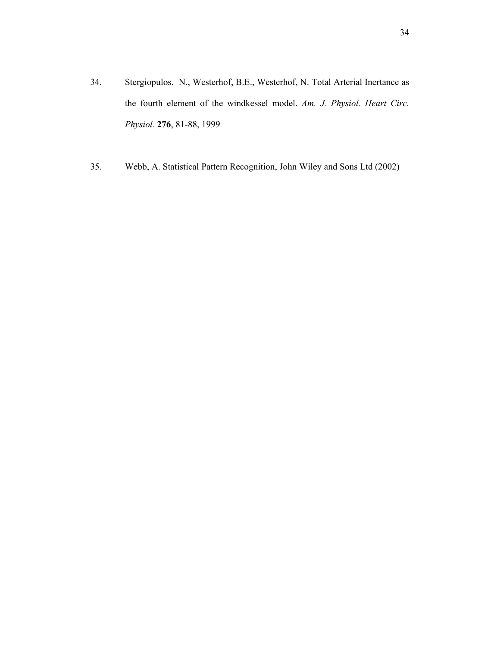- 34. Stergiopulos, N., Westerhof, B.E., Westerhof, N. Total Arterial Inertance as the fourth element of the windkessel model. *Am. J. Physiol. Heart Circ. Physiol.* **276**, 81-88, 1999
- 35. Webb, A. Statistical Pattern Recognition, John Wiley and Sons Ltd (2002)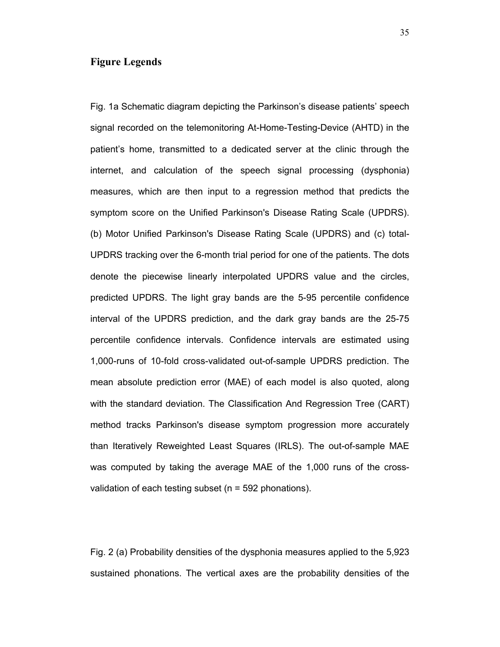## **Figure Legends**

Fig. 1a Schematic diagram depicting the Parkinson's disease patients' speech signal recorded on the telemonitoring At-Home-Testing-Device (AHTD) in the patient's home, transmitted to a dedicated server at the clinic through the internet, and calculation of the speech signal processing (dysphonia) measures, which are then input to a regression method that predicts the symptom score on the Unified Parkinson's Disease Rating Scale (UPDRS). (b) Motor Unified Parkinson's Disease Rating Scale (UPDRS) and (c) total-UPDRS tracking over the 6-month trial period for one of the patients. The dots denote the piecewise linearly interpolated UPDRS value and the circles, predicted UPDRS. The light gray bands are the 5-95 percentile confidence interval of the UPDRS prediction, and the dark gray bands are the 25-75 percentile confidence intervals. Confidence intervals are estimated using 1,000-runs of 10-fold cross-validated out-of-sample UPDRS prediction. The mean absolute prediction error (MAE) of each model is also quoted, along with the standard deviation. The Classification And Regression Tree (CART) method tracks Parkinson's disease symptom progression more accurately than Iteratively Reweighted Least Squares (IRLS). The out-of-sample MAE was computed by taking the average MAE of the 1,000 runs of the crossvalidation of each testing subset ( $n = 592$  phonations).

Fig. 2 (a) Probability densities of the dysphonia measures applied to the 5,923 sustained phonations. The vertical axes are the probability densities of the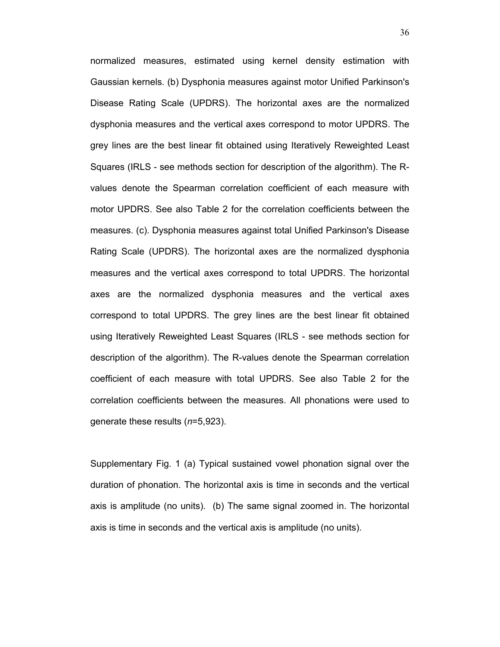normalized measures, estimated using kernel density estimation with Gaussian kernels. (b) Dysphonia measures against motor Unified Parkinson's Disease Rating Scale (UPDRS). The horizontal axes are the normalized dysphonia measures and the vertical axes correspond to motor UPDRS. The grey lines are the best linear fit obtained using Iteratively Reweighted Least Squares (IRLS - see methods section for description of the algorithm). The Rvalues denote the Spearman correlation coefficient of each measure with motor UPDRS. See also Table 2 for the correlation coefficients between the measures. (c). Dysphonia measures against total Unified Parkinson's Disease Rating Scale (UPDRS). The horizontal axes are the normalized dysphonia measures and the vertical axes correspond to total UPDRS. The horizontal axes are the normalized dysphonia measures and the vertical axes correspond to total UPDRS. The grey lines are the best linear fit obtained using Iteratively Reweighted Least Squares (IRLS - see methods section for description of the algorithm). The R-values denote the Spearman correlation coefficient of each measure with total UPDRS. See also Table 2 for the correlation coefficients between the measures. All phonations were used to generate these results (*n*=5,923).

Supplementary Fig. 1 (a) Typical sustained vowel phonation signal over the duration of phonation. The horizontal axis is time in seconds and the vertical axis is amplitude (no units). (b) The same signal zoomed in. The horizontal axis is time in seconds and the vertical axis is amplitude (no units).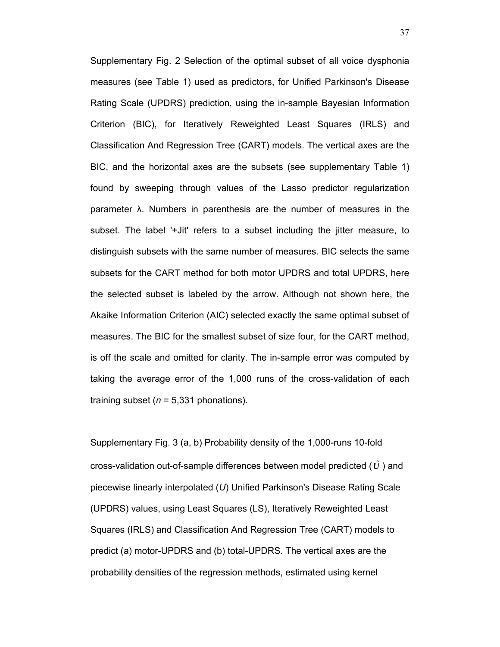Supplementary Fig. 2 Selection of the optimal subset of all voice dysphonia measures (see Table 1) used as predictors, for Unified Parkinson's Disease Rating Scale (UPDRS) prediction, using the in-sample Bayesian Information Criterion (BIC), for Iteratively Reweighted Least Squares (IRLS) and Classification And Regression Tree (CART) models. The vertical axes are the BIC, and the horizontal axes are the subsets (see supplementary Table 1) found by sweeping through values of the Lasso predictor regularization parameter λ. Numbers in parenthesis are the number of measures in the subset. The label '+Jit' refers to a subset including the jitter measure, to distinguish subsets with the same number of measures. BIC selects the same subsets for the CART method for both motor UPDRS and total UPDRS, here the selected subset is labeled by the arrow. Although not shown here, the Akaike Information Criterion (AIC) selected exactly the same optimal subset of measures. The BIC for the smallest subset of size four, for the CART method, is off the scale and omitted for clarity. The in-sample error was computed by taking the average error of the 1,000 runs of the cross-validation of each training subset ( $n = 5,331$  phonations).

Supplementary Fig. 3 (a, b) Probability density of the 1,000-runs 10-fold cross-validation out-of-sample differences between model predicted (*U*ˆ ) and piecewise linearly interpolated (*U*) Unified Parkinson's Disease Rating Scale (UPDRS) values, using Least Squares (LS), Iteratively Reweighted Least Squares (IRLS) and Classification And Regression Tree (CART) models to predict (a) motor-UPDRS and (b) total-UPDRS. The vertical axes are the probability densities of the regression methods, estimated using kernel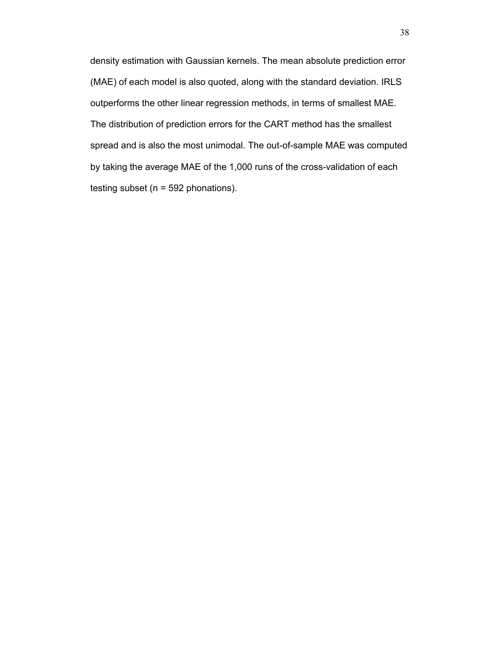density estimation with Gaussian kernels. The mean absolute prediction error (MAE) of each model is also quoted, along with the standard deviation. IRLS outperforms the other linear regression methods, in terms of smallest MAE. The distribution of prediction errors for the CART method has the smallest spread and is also the most unimodal. The out-of-sample MAE was computed by taking the average MAE of the 1,000 runs of the cross-validation of each testing subset ( $n = 592$  phonations).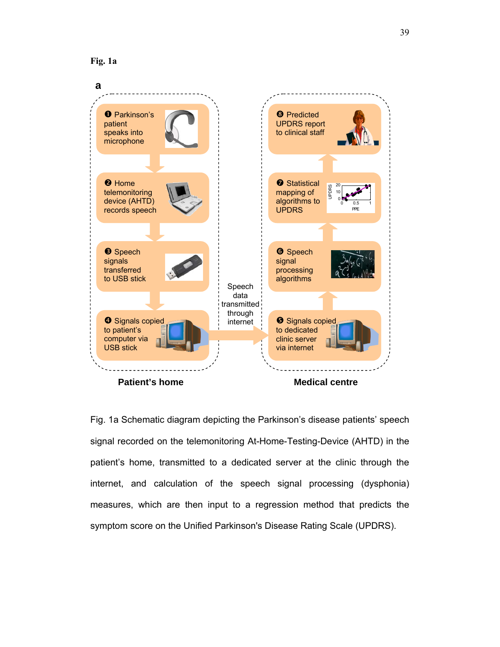



Fig. 1a Schematic diagram depicting the Parkinson's disease patients' speech signal recorded on the telemonitoring At-Home-Testing-Device (AHTD) in the patient's home, transmitted to a dedicated server at the clinic through the internet, and calculation of the speech signal processing (dysphonia) measures, which are then input to a regression method that predicts the symptom score on the Unified Parkinson's Disease Rating Scale (UPDRS).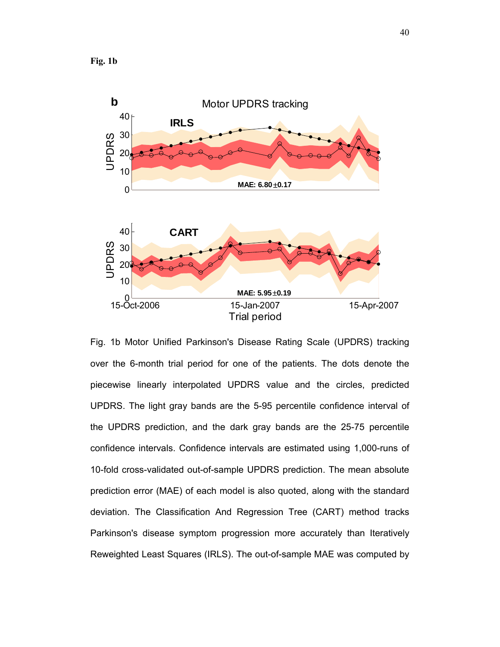

Fig. 1b Motor Unified Parkinson's Disease Rating Scale (UPDRS) tracking over the 6-month trial period for one of the patients. The dots denote the piecewise linearly interpolated UPDRS value and the circles, predicted UPDRS. The light gray bands are the 5-95 percentile confidence interval of the UPDRS prediction, and the dark gray bands are the 25-75 percentile confidence intervals. Confidence intervals are estimated using 1,000-runs of 10-fold cross-validated out-of-sample UPDRS prediction. The mean absolute prediction error (MAE) of each model is also quoted, along with the standard deviation. The Classification And Regression Tree (CART) method tracks Parkinson's disease symptom progression more accurately than Iteratively Reweighted Least Squares (IRLS). The out-of-sample MAE was computed by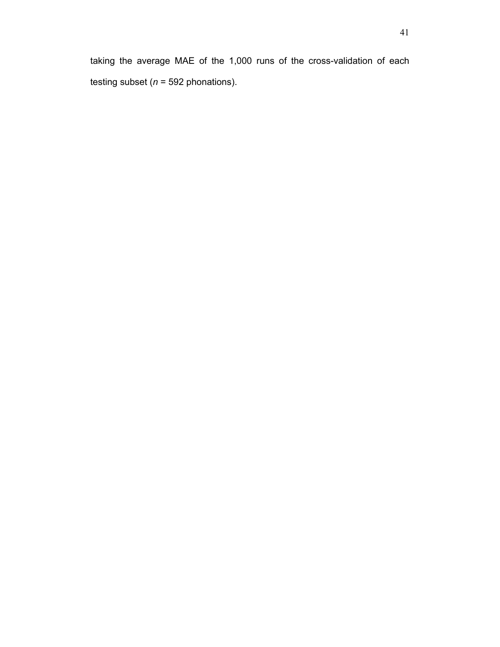taking the average MAE of the 1,000 runs of the cross-validation of each testing subset (*n* = 592 phonations).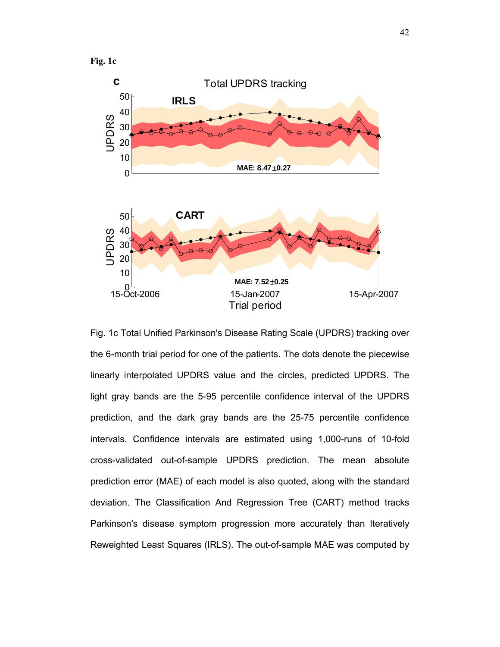**Fig. 1c** 



Fig. 1c Total Unified Parkinson's Disease Rating Scale (UPDRS) tracking over the 6-month trial period for one of the patients. The dots denote the piecewise linearly interpolated UPDRS value and the circles, predicted UPDRS. The light gray bands are the 5-95 percentile confidence interval of the UPDRS prediction, and the dark gray bands are the 25-75 percentile confidence intervals. Confidence intervals are estimated using 1,000-runs of 10-fold cross-validated out-of-sample UPDRS prediction. The mean absolute prediction error (MAE) of each model is also quoted, along with the standard deviation. The Classification And Regression Tree (CART) method tracks Parkinson's disease symptom progression more accurately than Iteratively Reweighted Least Squares (IRLS). The out-of-sample MAE was computed by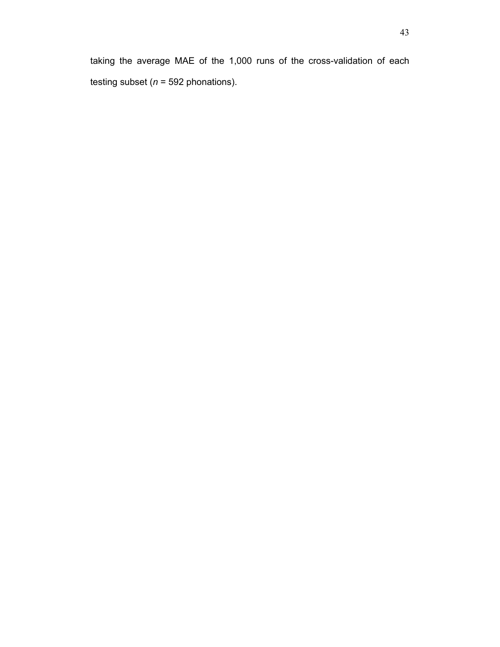taking the average MAE of the 1,000 runs of the cross-validation of each testing subset (*n* = 592 phonations).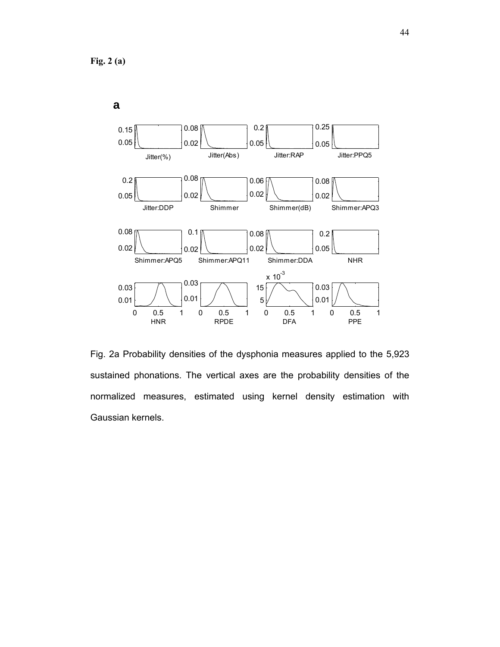

Fig. 2a Probability densities of the dysphonia measures applied to the 5,923 sustained phonations. The vertical axes are the probability densities of the normalized measures, estimated using kernel density estimation with Gaussian kernels.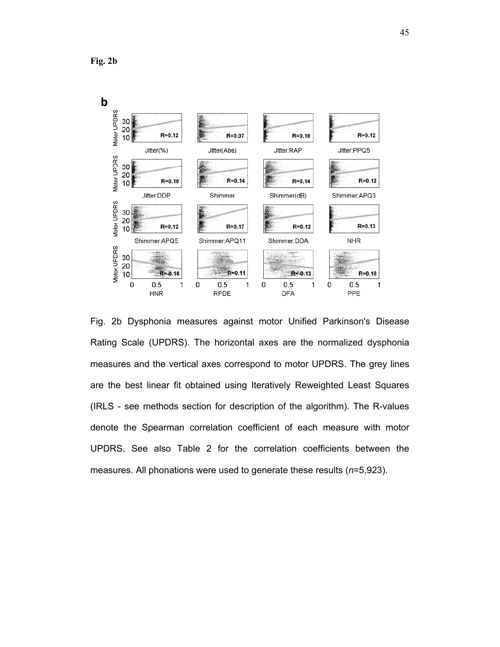**Fig. 2b** 



Fig. 2b Dysphonia measures against motor Unified Parkinson's Disease Rating Scale (UPDRS). The horizontal axes are the normalized dysphonia measures and the vertical axes correspond to motor UPDRS. The grey lines are the best linear fit obtained using Iteratively Reweighted Least Squares (IRLS - see methods section for description of the algorithm). The R-values denote the Spearman correlation coefficient of each measure with motor UPDRS. See also Table 2 for the correlation coefficients between the measures. All phonations were used to generate these results (*n*=5,923).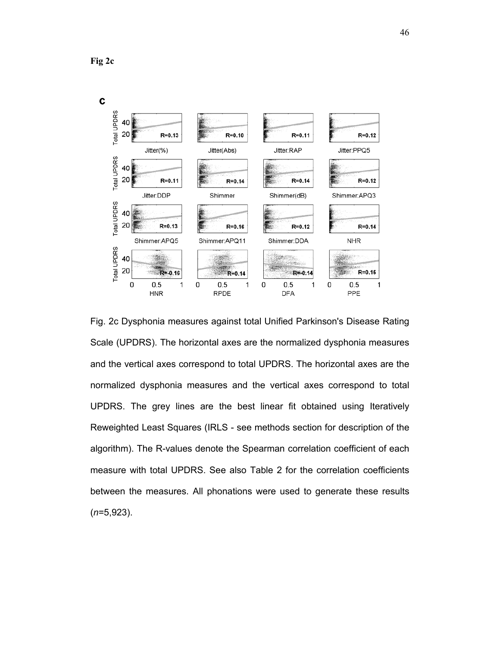**Fig 2c** 



Fig. 2c Dysphonia measures against total Unified Parkinson's Disease Rating Scale (UPDRS). The horizontal axes are the normalized dysphonia measures and the vertical axes correspond to total UPDRS. The horizontal axes are the normalized dysphonia measures and the vertical axes correspond to total UPDRS. The grey lines are the best linear fit obtained using Iteratively Reweighted Least Squares (IRLS - see methods section for description of the algorithm). The R-values denote the Spearman correlation coefficient of each measure with total UPDRS. See also Table 2 for the correlation coefficients between the measures. All phonations were used to generate these results (*n*=5,923).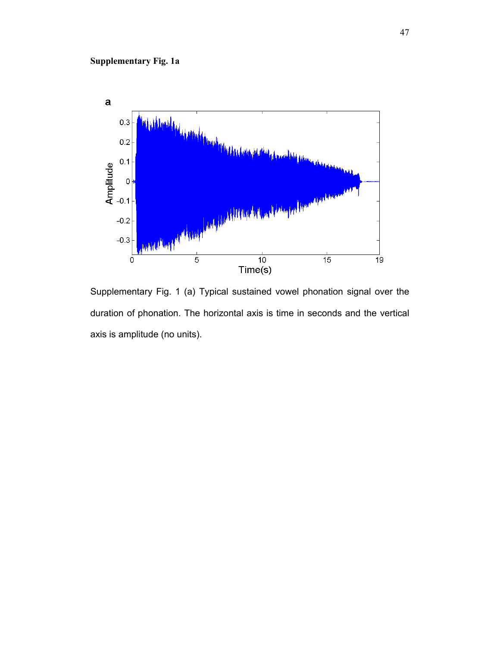

Supplementary Fig. 1 (a) Typical sustained vowel phonation signal over the duration of phonation. The horizontal axis is time in seconds and the vertical axis is amplitude (no units).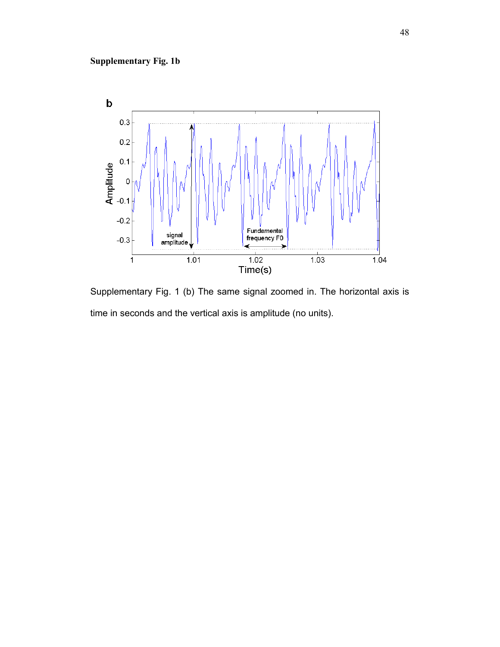

Supplementary Fig. 1 (b) The same signal zoomed in. The horizontal axis is time in seconds and the vertical axis is amplitude (no units).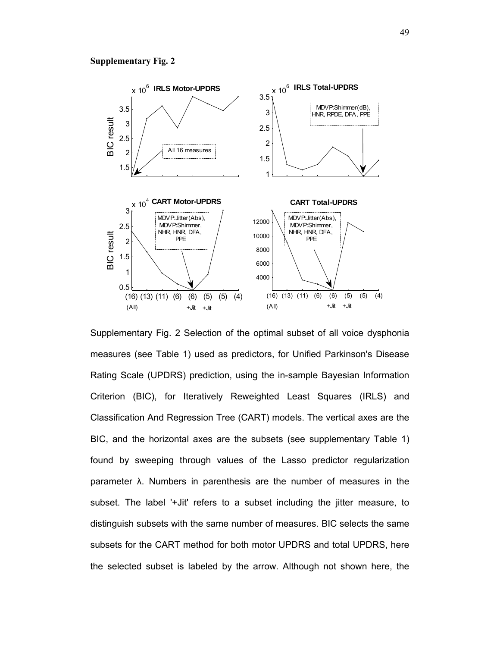#### **Supplementary Fig. 2**



Supplementary Fig. 2 Selection of the optimal subset of all voice dysphonia measures (see Table 1) used as predictors, for Unified Parkinson's Disease Rating Scale (UPDRS) prediction, using the in-sample Bayesian Information Criterion (BIC), for Iteratively Reweighted Least Squares (IRLS) and Classification And Regression Tree (CART) models. The vertical axes are the BIC, and the horizontal axes are the subsets (see supplementary Table 1) found by sweeping through values of the Lasso predictor regularization parameter λ. Numbers in parenthesis are the number of measures in the subset. The label '+Jit' refers to a subset including the jitter measure, to distinguish subsets with the same number of measures. BIC selects the same subsets for the CART method for both motor UPDRS and total UPDRS, here the selected subset is labeled by the arrow. Although not shown here, the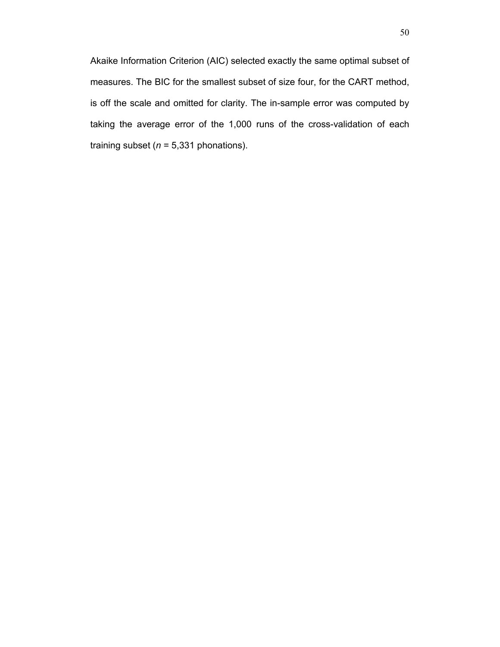Akaike Information Criterion (AIC) selected exactly the same optimal subset of measures. The BIC for the smallest subset of size four, for the CART method, is off the scale and omitted for clarity. The in-sample error was computed by taking the average error of the 1,000 runs of the cross-validation of each training subset  $(n = 5,331$  phonations).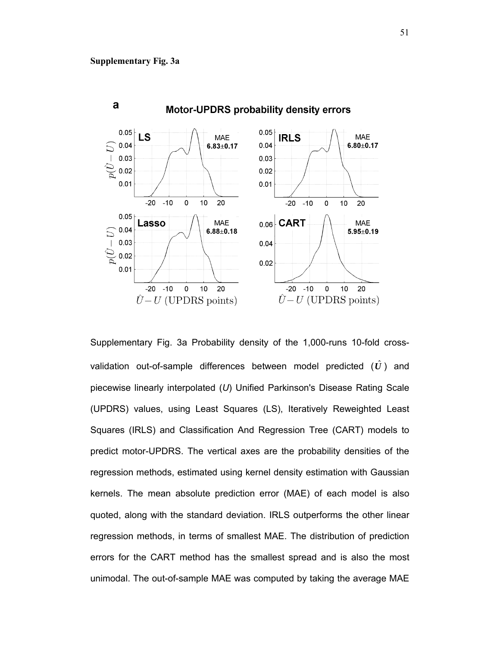

Supplementary Fig. 3a Probability density of the 1,000-runs 10-fold crossvalidation out-of-sample differences between model predicted  $(\hat{U})$  and piecewise linearly interpolated (*U*) Unified Parkinson's Disease Rating Scale (UPDRS) values, using Least Squares (LS), Iteratively Reweighted Least Squares (IRLS) and Classification And Regression Tree (CART) models to predict motor-UPDRS. The vertical axes are the probability densities of the regression methods, estimated using kernel density estimation with Gaussian kernels. The mean absolute prediction error (MAE) of each model is also quoted, along with the standard deviation. IRLS outperforms the other linear regression methods, in terms of smallest MAE. The distribution of prediction errors for the CART method has the smallest spread and is also the most unimodal. The out-of-sample MAE was computed by taking the average MAE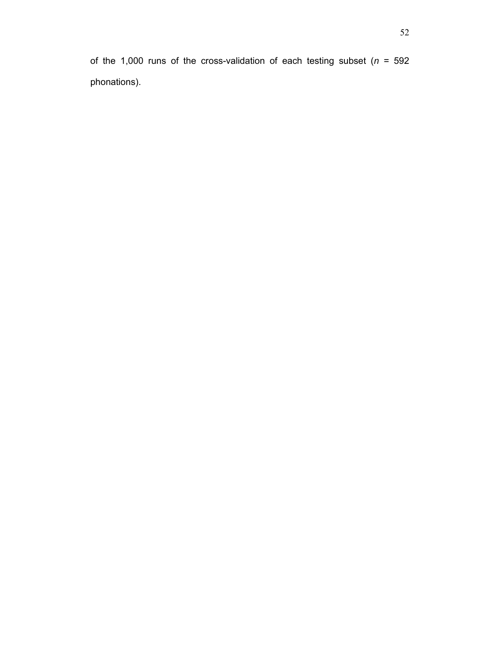of the 1,000 runs of the cross-validation of each testing subset (*n* = 592 phonations).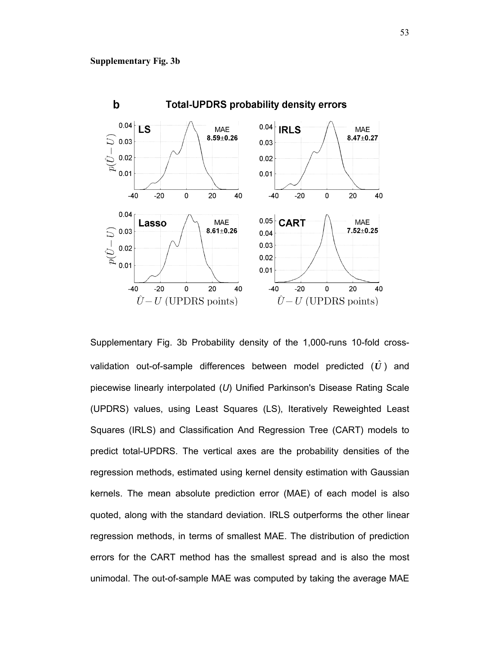

Supplementary Fig. 3b Probability density of the 1,000-runs 10-fold crossvalidation out-of-sample differences between model predicted  $(\hat{U})$  and piecewise linearly interpolated (*U*) Unified Parkinson's Disease Rating Scale (UPDRS) values, using Least Squares (LS), Iteratively Reweighted Least Squares (IRLS) and Classification And Regression Tree (CART) models to predict total-UPDRS. The vertical axes are the probability densities of the regression methods, estimated using kernel density estimation with Gaussian kernels. The mean absolute prediction error (MAE) of each model is also quoted, along with the standard deviation. IRLS outperforms the other linear regression methods, in terms of smallest MAE. The distribution of prediction errors for the CART method has the smallest spread and is also the most unimodal. The out-of-sample MAE was computed by taking the average MAE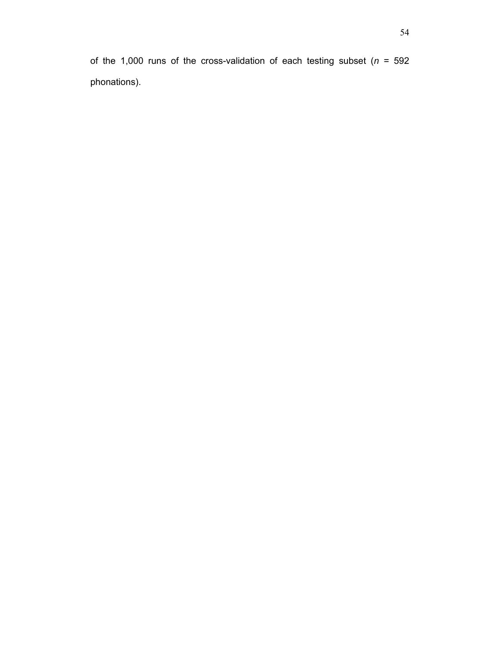of the 1,000 runs of the cross-validation of each testing subset (*n* = 592 phonations).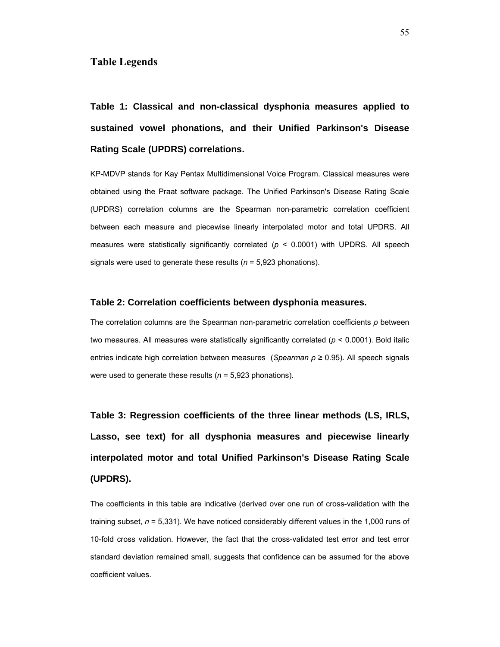## **Table Legends**

**Table 1: Classical and non-classical dysphonia measures applied to sustained vowel phonations, and their Unified Parkinson's Disease Rating Scale (UPDRS) correlations.** 

KP-MDVP stands for Kay Pentax Multidimensional Voice Program. Classical measures were obtained using the Praat software package. The Unified Parkinson's Disease Rating Scale (UPDRS) correlation columns are the Spearman non-parametric correlation coefficient between each measure and piecewise linearly interpolated motor and total UPDRS. All measures were statistically significantly correlated (*p* < 0.0001) with UPDRS. All speech signals were used to generate these results (*n* = 5,923 phonations).

#### **Table 2: Correlation coefficients between dysphonia measures.**

The correlation columns are the Spearman non-parametric correlation coefficients *ρ* between two measures. All measures were statistically significantly correlated (*p* < 0.0001). Bold italic entries indicate high correlation between measures (*Spearman ρ* ≥ 0.95). All speech signals were used to generate these results (*n* = 5,923 phonations).

**Table 3: Regression coefficients of the three linear methods (LS, IRLS, Lasso, see text) for all dysphonia measures and piecewise linearly interpolated motor and total Unified Parkinson's Disease Rating Scale (UPDRS).** 

The coefficients in this table are indicative (derived over one run of cross-validation with the training subset, *n* = 5,331). We have noticed considerably different values in the 1,000 runs of 10-fold cross validation. However, the fact that the cross-validated test error and test error standard deviation remained small, suggests that confidence can be assumed for the above coefficient values.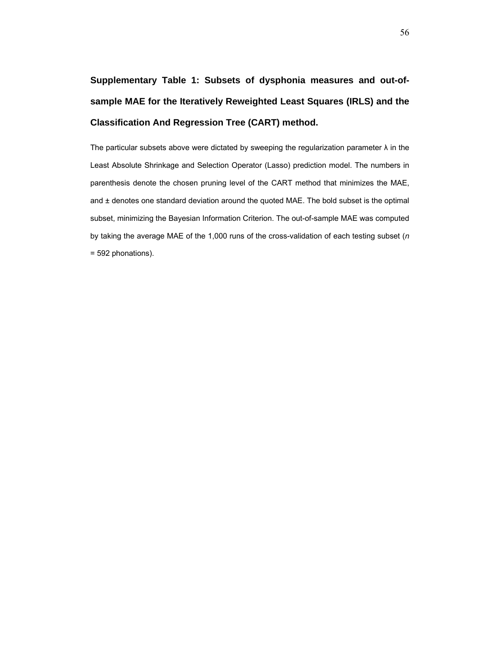# **Supplementary Table 1: Subsets of dysphonia measures and out-ofsample MAE for the Iteratively Reweighted Least Squares (IRLS) and the Classification And Regression Tree (CART) method.**

The particular subsets above were dictated by sweeping the regularization parameter  $\lambda$  in the Least Absolute Shrinkage and Selection Operator (Lasso) prediction model. The numbers in parenthesis denote the chosen pruning level of the CART method that minimizes the MAE, and ± denotes one standard deviation around the quoted MAE. The bold subset is the optimal subset, minimizing the Bayesian Information Criterion. The out-of-sample MAE was computed by taking the average MAE of the 1,000 runs of the cross-validation of each testing subset (*n*  = 592 phonations).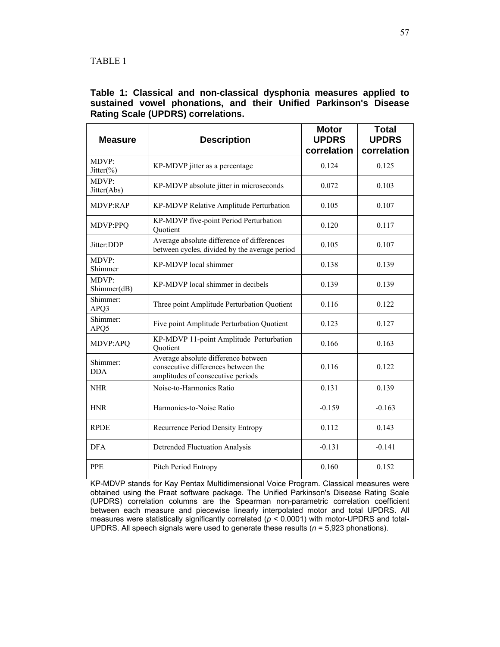# **Table 1: Classical and non-classical dysphonia measures applied to sustained vowel phonations, and their Unified Parkinson's Disease Rating Scale (UPDRS) correlations.**

| <b>Measure</b>         | <b>Description</b>                                                                                              | <b>Motor</b><br><b>UPDRS</b><br>correlation | <b>Total</b><br><b>UPDRS</b><br>correlation |  |
|------------------------|-----------------------------------------------------------------------------------------------------------------|---------------------------------------------|---------------------------------------------|--|
| MDVP:<br>Jitter $(\%)$ | KP-MDVP jitter as a percentage                                                                                  | 0.124                                       | 0.125                                       |  |
| MDVP:<br>Jitter(Abs)   | KP-MDVP absolute jitter in microseconds                                                                         | 0.072                                       | 0.103                                       |  |
| <b>MDVP:RAP</b>        | KP-MDVP Relative Amplitude Perturbation                                                                         | 0.105                                       | 0.107                                       |  |
| MDVP:PPQ               | KP-MDVP five-point Period Perturbation<br>Quotient                                                              | 0.120                                       | 0.117                                       |  |
| Jitter:DDP             | Average absolute difference of differences<br>between cycles, divided by the average period                     | 0.105                                       | 0.107                                       |  |
| MDVP:<br>Shimmer       | KP-MDVP local shimmer                                                                                           | 0.138                                       | 0.139                                       |  |
| MDVP:<br>Shimmer(dB)   | KP-MDVP local shimmer in decibels                                                                               | 0.139                                       | 0.139                                       |  |
| Shimmer:<br>APQ3       | Three point Amplitude Perturbation Quotient                                                                     | 0.116                                       | 0.122                                       |  |
| Shimmer:<br>APQ5       | Five point Amplitude Perturbation Quotient                                                                      | 0.123                                       | 0.127                                       |  |
| MDVP:APQ               | KP-MDVP 11-point Amplitude Perturbation<br>Quotient                                                             | 0.166                                       | 0.163                                       |  |
| Shimmer:<br><b>DDA</b> | Average absolute difference between<br>consecutive differences between the<br>amplitudes of consecutive periods | 0.116                                       | 0.122                                       |  |
| <b>NHR</b>             | Noise-to-Harmonics Ratio                                                                                        | 0.131                                       | 0.139                                       |  |
| <b>HNR</b>             | Harmonics-to-Noise Ratio                                                                                        | $-0.159$                                    | $-0.163$                                    |  |
| <b>RPDE</b>            | Recurrence Period Density Entropy                                                                               | 0.112                                       | 0.143                                       |  |
| <b>DFA</b>             | <b>Detrended Fluctuation Analysis</b>                                                                           | $-0.131$                                    | $-0.141$                                    |  |
| <b>PPE</b>             | Pitch Period Entropy                                                                                            | 0.160                                       | 0.152                                       |  |

KP-MDVP stands for Kay Pentax Multidimensional Voice Program. Classical measures were obtained using the Praat software package. The Unified Parkinson's Disease Rating Scale (UPDRS) correlation columns are the Spearman non-parametric correlation coefficient between each measure and piecewise linearly interpolated motor and total UPDRS. All measures were statistically significantly correlated (*p* < 0.0001) with motor-UPDRS and total-UPDRS. All speech signals were used to generate these results (*n* = 5,923 phonations).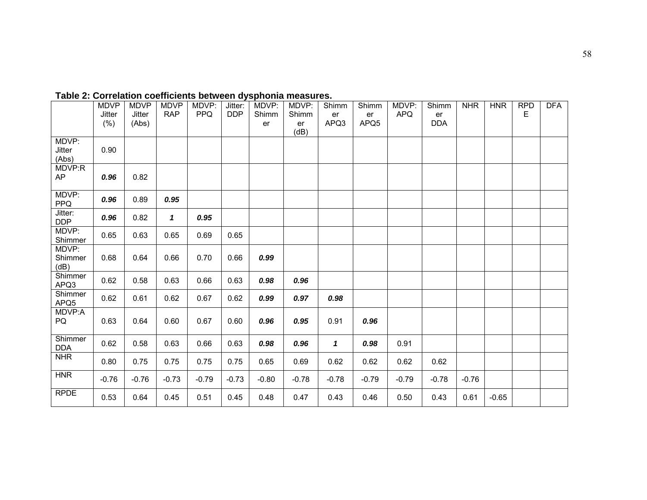|                       | <b>MDVP</b><br>Jitter | <b>MDVP</b><br>Jitter | <b>MDVP</b><br><b>RAP</b> | MDVP:<br><b>PPQ</b> | Jitter:<br><b>DDP</b> | MDVP:<br>Shimm | MDVP:<br>Shimm | Shimm<br>er  | Shimm<br>er | MDVP:<br><b>APQ</b> | Shimm<br>er | <b>NHR</b> | <b>HNR</b> | <b>RPD</b><br>E | <b>DFA</b> |
|-----------------------|-----------------------|-----------------------|---------------------------|---------------------|-----------------------|----------------|----------------|--------------|-------------|---------------------|-------------|------------|------------|-----------------|------------|
|                       | (%)                   | (Abs)                 |                           |                     |                       | er             | er             | APQ3         | APQ5        |                     | <b>DDA</b>  |            |            |                 |            |
|                       |                       |                       |                           |                     |                       |                | (dB)           |              |             |                     |             |            |            |                 |            |
| MDVP:                 |                       |                       |                           |                     |                       |                |                |              |             |                     |             |            |            |                 |            |
| Jitter                | 0.90                  |                       |                           |                     |                       |                |                |              |             |                     |             |            |            |                 |            |
| (Abs)                 |                       |                       |                           |                     |                       |                |                |              |             |                     |             |            |            |                 |            |
| MDVP:R                |                       |                       |                           |                     |                       |                |                |              |             |                     |             |            |            |                 |            |
| <b>AP</b>             | 0.96                  | 0.82                  |                           |                     |                       |                |                |              |             |                     |             |            |            |                 |            |
| MDVP:                 |                       |                       |                           |                     |                       |                |                |              |             |                     |             |            |            |                 |            |
| <b>PPQ</b>            | 0.96                  | 0.89                  | 0.95                      |                     |                       |                |                |              |             |                     |             |            |            |                 |            |
| Jitter:<br><b>DDP</b> | 0.96                  | 0.82                  | $\mathbf{1}$              | 0.95                |                       |                |                |              |             |                     |             |            |            |                 |            |
| MDVP:                 | 0.65                  | 0.63                  | 0.65                      | 0.69                | 0.65                  |                |                |              |             |                     |             |            |            |                 |            |
| Shimmer               |                       |                       |                           |                     |                       |                |                |              |             |                     |             |            |            |                 |            |
| MDVP:                 |                       |                       |                           |                     |                       |                |                |              |             |                     |             |            |            |                 |            |
| Shimmer               | 0.68                  | 0.64                  | 0.66                      | 0.70                | 0.66                  | 0.99           |                |              |             |                     |             |            |            |                 |            |
| (dB)                  |                       |                       |                           |                     |                       |                |                |              |             |                     |             |            |            |                 |            |
| Shimmer<br>APQ3       | 0.62                  | 0.58                  | 0.63                      | 0.66                | 0.63                  | 0.98           | 0.96           |              |             |                     |             |            |            |                 |            |
| Shimmer               |                       |                       |                           |                     |                       |                |                |              |             |                     |             |            |            |                 |            |
| APQ5                  | 0.62                  | 0.61                  | 0.62                      | 0.67                | 0.62                  | 0.99           | 0.97           | 0.98         |             |                     |             |            |            |                 |            |
| MDVP:A                |                       |                       |                           |                     |                       |                |                |              |             |                     |             |            |            |                 |            |
| PQ                    | 0.63                  | 0.64                  | 0.60                      | 0.67                | 0.60                  | 0.96           | 0.95           | 0.91         | 0.96        |                     |             |            |            |                 |            |
|                       |                       |                       |                           |                     |                       |                |                |              |             |                     |             |            |            |                 |            |
| Shimmer               | 0.62                  | 0.58                  | 0.63                      | 0.66                | 0.63                  | 0.98           | 0.96           | $\mathbf{1}$ | 0.98        | 0.91                |             |            |            |                 |            |
| <b>DDA</b>            |                       |                       |                           |                     |                       |                |                |              |             |                     |             |            |            |                 |            |
| <b>NHR</b>            | 0.80                  | 0.75                  | 0.75                      | 0.75                | 0.75                  | 0.65           | 0.69           | 0.62         | 0.62        | 0.62                | 0.62        |            |            |                 |            |
| <b>HNR</b>            | $-0.76$               | $-0.76$               | $-0.73$                   | $-0.79$             | $-0.73$               | $-0.80$        | $-0.78$        | $-0.78$      | $-0.79$     | $-0.79$             | $-0.78$     | $-0.76$    |            |                 |            |
| <b>RPDE</b>           | 0.53                  | 0.64                  | 0.45                      | 0.51                | 0.45                  | 0.48           | 0.47           | 0.43         | 0.46        | 0.50                | 0.43        | 0.61       | $-0.65$    |                 |            |

# **Table 2: Correlation coefficients between dysphonia measures.**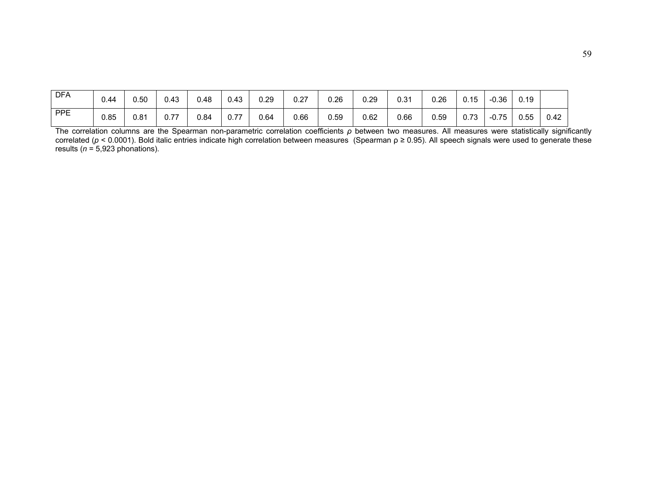| <b>DFA</b> | 0.44 | 0.50 | 0.43 | 0.48 | 0.43 | 0.29 | 0.27 | 0.26 | 0.29 | 0.31 | 0.26 | 0.15 | -0.36   | 0.19 |      |
|------------|------|------|------|------|------|------|------|------|------|------|------|------|---------|------|------|
| PPE        | 0.85 | 0.81 | 0.77 | 0.84 | 0.77 | 0.64 | 0.66 | 0.59 | 0.62 | 0.66 | 0.59 | 0.73 | $-0.75$ | 0.55 | 0.42 |

The correlation columns are the Spearman non-parametric correlation coefficients *ρ* between two measures. All measures were statistically significantly correlated (*p* <sup>&</sup>lt; 0.0001). Bold italic entries indicate high correlation between measures (Spearman ρ <sup>≥</sup> 0.95). All speech signals were used to generate these results (*<sup>n</sup>* = 5,923 phonations).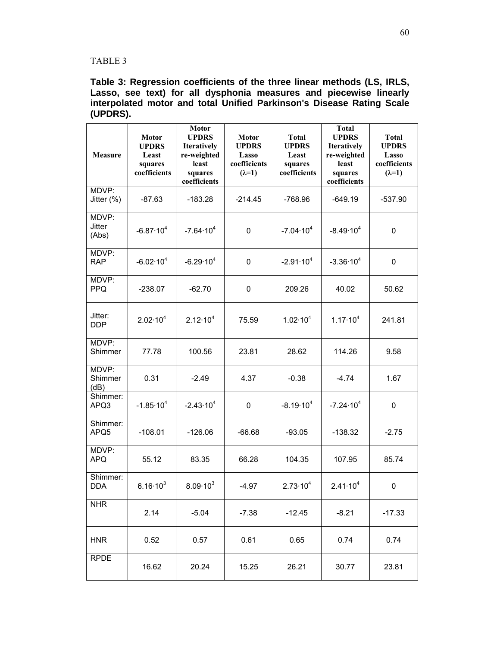## TABLE 3

**Table 3: Regression coefficients of the three linear methods (LS, IRLS, Lasso, see text) for all dysphonia measures and piecewise linearly interpolated motor and total Unified Parkinson's Disease Rating Scale (UPDRS).** 

| <b>Measure</b>           | <b>Motor</b><br><b>UPDRS</b><br>Least<br>squares<br>coefficients | Motor<br><b>UPDRS</b><br><b>Iteratively</b><br>re-weighted<br>least<br>squares<br>coefficients | <b>Motor</b><br><b>UPDRS</b><br>Lasso<br>coefficients<br>$(\lambda=1)$ | <b>Total</b><br><b>UPDRS</b><br>Least<br>squares<br>coefficients | <b>Total</b><br><b>UPDRS</b><br>Iteratively<br>re-weighted<br>least<br>squares<br>coefficients | <b>Total</b><br><b>UPDRS</b><br>Lasso<br>coefficients<br>$(\lambda=1)$ |
|--------------------------|------------------------------------------------------------------|------------------------------------------------------------------------------------------------|------------------------------------------------------------------------|------------------------------------------------------------------|------------------------------------------------------------------------------------------------|------------------------------------------------------------------------|
| MDVP:<br>Jitter $(\%)$   | $-87.63$                                                         | $-183.28$                                                                                      | $-214.45$                                                              | $-768.96$                                                        | $-649.19$                                                                                      | $-537.90$                                                              |
| MDVP:<br>Jitter<br>(Abs) | $-6.87 \cdot 10^{4}$                                             | $-7.64 \cdot 10^{4}$                                                                           | 0                                                                      | $-7.04 \cdot 10^{4}$                                             | $-8.49 \cdot 10^{4}$                                                                           | $\mathbf 0$                                                            |
| MDVP:<br><b>RAP</b>      | $-6.02 \cdot 10^{4}$                                             | $-6.29 \cdot 10^{4}$                                                                           | 0                                                                      | $-2.91 \cdot 10^{4}$                                             | $-3.36 \cdot 10^{4}$                                                                           | $\mathbf 0$                                                            |
| MDVP:<br><b>PPQ</b>      | $-238.07$                                                        | $-62.70$                                                                                       | 0                                                                      | 209.26                                                           | 40.02                                                                                          | 50.62                                                                  |
| Jitter:<br><b>DDP</b>    | $2.02 \cdot 10^{4}$                                              | $2.12 \cdot 10^{4}$                                                                            | 75.59                                                                  | $1.02 \cdot 10^{4}$                                              | $1.17 \cdot 10^{4}$                                                                            | 241.81                                                                 |
| MDVP:<br>Shimmer         | 77.78                                                            | 100.56                                                                                         | 23.81                                                                  | 28.62                                                            | 114.26                                                                                         | 9.58                                                                   |
| MDVP:<br>Shimmer<br>(dB) | 0.31                                                             | $-2.49$                                                                                        | 4.37                                                                   | $-0.38$                                                          | $-4.74$                                                                                        | 1.67                                                                   |
| Shimmer:<br>APQ3         | $-1.85 \cdot 10^{4}$                                             | $-2.43 \cdot 10^{4}$                                                                           | 0                                                                      | $-8.19 \cdot 10^{4}$                                             | $-7.24 \cdot 10^{4}$                                                                           | 0                                                                      |
| Shimmer:<br>APQ5         | $-108.01$                                                        | $-126.06$                                                                                      | $-66.68$                                                               | $-93.05$                                                         | $-138.32$                                                                                      | $-2.75$                                                                |
| MDVP:<br><b>APQ</b>      | 55.12                                                            | 83.35                                                                                          | 66.28                                                                  | 104.35                                                           | 107.95                                                                                         | 85.74                                                                  |
| Shimmer:<br><b>DDA</b>   | $6.16 \cdot 10^{3}$                                              | $8.09 \cdot 10^{3}$                                                                            | $-4.97$                                                                | $2.73 \cdot 10^{4}$                                              | $2.41 \cdot 10^{4}$                                                                            | 0                                                                      |
| <b>NHR</b>               | 2.14                                                             | $-5.04$                                                                                        | $-7.38$                                                                | $-12.45$                                                         | $-8.21$                                                                                        | $-17.33$                                                               |
| <b>HNR</b>               | 0.52                                                             | 0.57                                                                                           | 0.61                                                                   | 0.65                                                             | 0.74                                                                                           | 0.74                                                                   |
| <b>RPDE</b>              | 16.62                                                            | 20.24                                                                                          | 15.25                                                                  | 26.21                                                            | 30.77                                                                                          | 23.81                                                                  |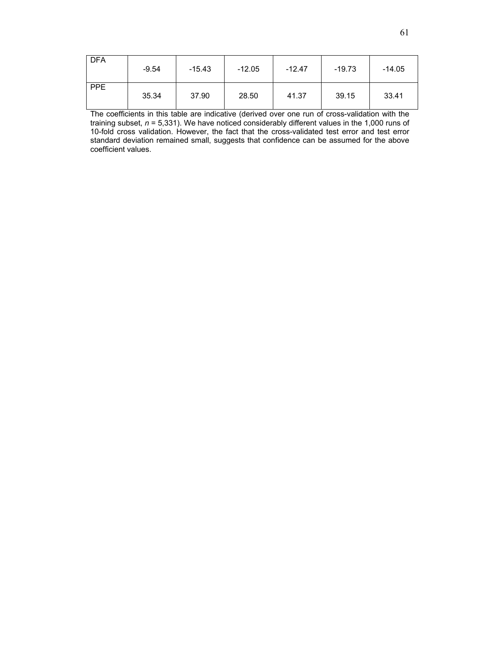| l DFA      | $-9.54$ | $-15.43$ | $-12.05$ | $-12.47$ | $-19.73$ | $-14.05$ |
|------------|---------|----------|----------|----------|----------|----------|
| <b>PPE</b> | 35.34   | 37.90    | 28.50    | 41.37    | 39.15    | 33.41    |

The coefficients in this table are indicative (derived over one run of cross-validation with the training subset, *n* = 5,331). We have noticed considerably different values in the 1,000 runs of 10-fold cross validation. However, the fact that the cross-validated test error and test error standard deviation remained small, suggests that confidence can be assumed for the above coefficient values.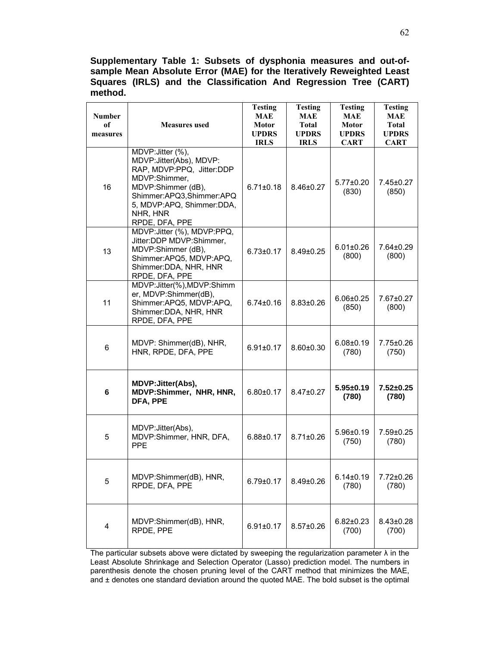**Supplementary Table 1: Subsets of dysphonia measures and out-ofsample Mean Absolute Error (MAE) for the Iteratively Reweighted Least Squares (IRLS) and the Classification And Regression Tree (CART) method.** 

| <b>Number</b><br>of<br>measures | <b>Measures</b> used                                                                                                                                                                                     | <b>Testing</b><br><b>MAE</b><br><b>Motor</b><br><b>UPDRS</b><br><b>IRLS</b> | <b>Testing</b><br><b>MAE</b><br><b>Total</b><br><b>UPDRS</b><br><b>IRLS</b> | <b>Testing</b><br><b>MAE</b><br><b>Motor</b><br><b>UPDRS</b><br><b>CART</b> | <b>Testing</b><br><b>MAE</b><br><b>Total</b><br><b>UPDRS</b><br><b>CART</b> |
|---------------------------------|----------------------------------------------------------------------------------------------------------------------------------------------------------------------------------------------------------|-----------------------------------------------------------------------------|-----------------------------------------------------------------------------|-----------------------------------------------------------------------------|-----------------------------------------------------------------------------|
| 16                              | MDVP: Jitter (%),<br>MDVP: Jitter(Abs), MDVP:<br>RAP, MDVP:PPQ, Jitter:DDP<br>MDVP:Shimmer,<br>MDVP:Shimmer (dB),<br>Shimmer:APQ3,Shimmer:APQ<br>5, MDVP:APQ, Shimmer:DDA,<br>NHR, HNR<br>RPDE, DFA, PPE | $6.71 \pm 0.18$                                                             | 8.46±0.27                                                                   | $5.77 \pm 0.20$<br>(830)                                                    | 7.45±0.27<br>(850)                                                          |
| 13                              | MDVP: Jitter (%), MDVP:PPQ,<br>Jitter:DDP MDVP:Shimmer,<br>MDVP:Shimmer (dB),<br>Shimmer:APQ5, MDVP:APQ,<br>Shimmer: DDA, NHR, HNR<br>RPDE, DFA, PPE                                                     | $6.73 \pm 0.17$                                                             | $8.49 \pm 0.25$                                                             | $6.01 \pm 0.26$<br>(800)                                                    | 7.64±0.29<br>(800)                                                          |
| 11                              | MDVP:Jitter(%), MDVP:Shimm<br>er, MDVP:Shimmer(dB),<br>Shimmer:APQ5, MDVP:APQ,<br>Shimmer: DDA, NHR, HNR<br>RPDE, DFA, PPE                                                                               | $6.74 \pm 0.16$                                                             | $8.83 \pm 0.26$                                                             | $6.06 \pm 0.25$<br>(850)                                                    | 7.67±0.27<br>(800)                                                          |
| 6                               | MDVP: Shimmer(dB), NHR,<br>HNR, RPDE, DFA, PPE                                                                                                                                                           | $6.91 \pm 0.17$                                                             | $8.60 \pm 0.30$                                                             | $6.08 \pm 0.19$<br>(780)                                                    | 7.75±0.26<br>(750)                                                          |
| 6                               | <b>MDVP: Jitter(Abs),</b><br>MDVP:Shimmer, NHR, HNR,<br>DFA, PPE                                                                                                                                         | $6.80 + 0.17$                                                               | 8.47±0.27                                                                   | $5.95 \pm 0.19$<br>(780)                                                    | $7.52 \pm 0.25$<br>(780)                                                    |
| 5                               | MDVP: Jitter(Abs),<br>MDVP:Shimmer, HNR, DFA,<br><b>PPE</b>                                                                                                                                              | $6.88 \pm 0.17$                                                             | $8.71 \pm 0.26$                                                             | $5.96 \pm 0.19$<br>(750)                                                    | $7.59 \pm 0.25$<br>(780)                                                    |
| 5                               | MDVP:Shimmer(dB), HNR,<br>RPDE, DFA, PPE                                                                                                                                                                 | $6.79 \pm 0.17$                                                             | 8.49±0.26                                                                   | $6.14 \pm 0.19$<br>(780)                                                    | 7.72±0.26<br>(780)                                                          |
| 4                               | MDVP:Shimmer(dB), HNR,<br>RPDE, PPE                                                                                                                                                                      | $6.91 \pm 0.17$                                                             | $8.57 \pm 0.26$                                                             | $6.82 \pm 0.23$<br>(700)                                                    | 8.43±0.28<br>(700)                                                          |

The particular subsets above were dictated by sweeping the regularization parameter  $\lambda$  in the Least Absolute Shrinkage and Selection Operator (Lasso) prediction model. The numbers in parenthesis denote the chosen pruning level of the CART method that minimizes the MAE, and ± denotes one standard deviation around the quoted MAE. The bold subset is the optimal